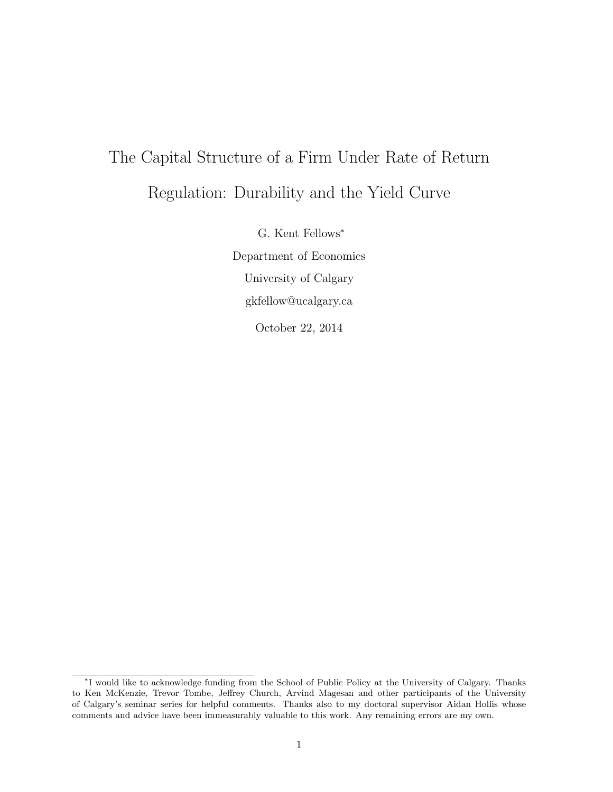# The Capital Structure of a Firm Under Rate of Return Regulation: Durability and the Yield Curve

G. Kent Fellows<sup>∗</sup> Department of Economics University of Calgary gkfellow@ucalgary.ca

October 22, 2014

<sup>∗</sup> I would like to acknowledge funding from the School of Public Policy at the University of Calgary. Thanks to Ken McKenzie, Trevor Tombe, Jeffrey Church, Arvind Magesan and other participants of the University of Calgary's seminar series for helpful comments. Thanks also to my doctoral supervisor Aidan Hollis whose comments and advice have been immeasurably valuable to this work. Any remaining errors are my own.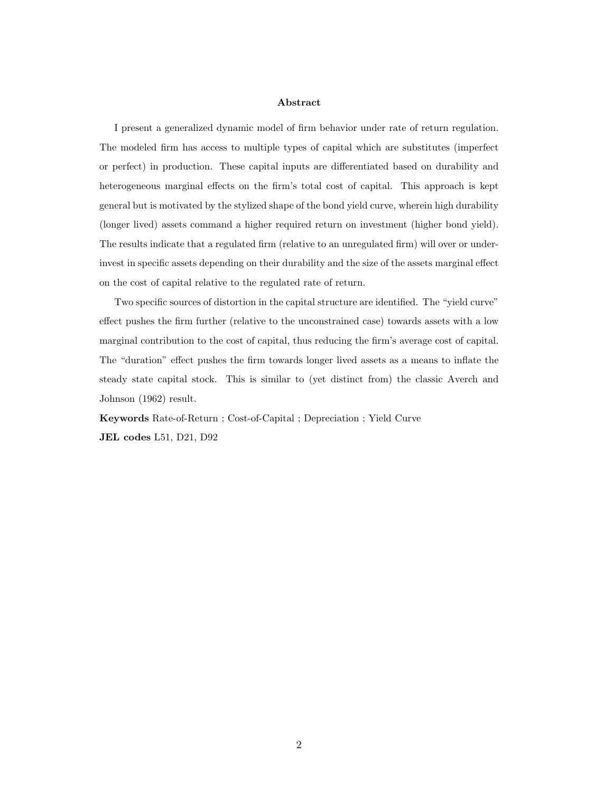#### Abstract

I present a generalized dynamic model of firm behavior under rate of return regulation. The modeled firm has access to multiple types of capital which are substitutes (imperfect or perfect) in production. These capital inputs are differentiated based on durability and heterogeneous marginal effects on the firm's total cost of capital. This approach is kept general but is motivated by the stylized shape of the bond yield curve, wherein high durability (longer lived) assets command a higher required return on investment (higher bond yield). The results indicate that a regulated firm (relative to an unregulated firm) will over or underinvest in specific assets depending on their durability and the size of the assets marginal effect on the cost of capital relative to the regulated rate of return.

Two specific sources of distortion in the capital structure are identified. The "yield curve" effect pushes the firm further (relative to the unconstrained case) towards assets with a low marginal contribution to the cost of capital, thus reducing the firm's average cost of capital. The "duration" effect pushes the firm towards longer lived assets as a means to inflate the steady state capital stock. This is similar to (yet distinct from) the classic Averch and Johnson (1962) result.

Keywords Rate-of-Return ; Cost-of-Capital ; Depreciation ; Yield Curve JEL codes L51, D21, D92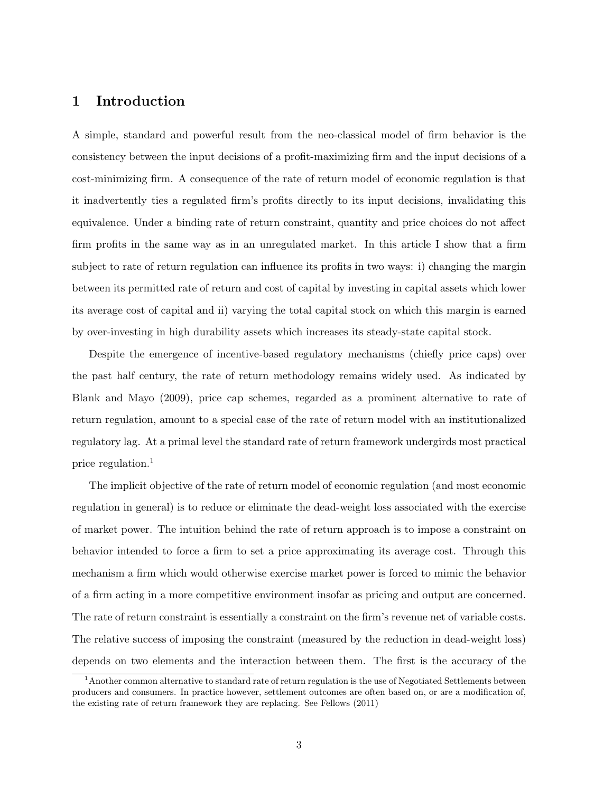# 1 Introduction

A simple, standard and powerful result from the neo-classical model of firm behavior is the consistency between the input decisions of a profit-maximizing firm and the input decisions of a cost-minimizing firm. A consequence of the rate of return model of economic regulation is that it inadvertently ties a regulated firm's profits directly to its input decisions, invalidating this equivalence. Under a binding rate of return constraint, quantity and price choices do not affect firm profits in the same way as in an unregulated market. In this article I show that a firm subject to rate of return regulation can influence its profits in two ways: i) changing the margin between its permitted rate of return and cost of capital by investing in capital assets which lower its average cost of capital and ii) varying the total capital stock on which this margin is earned by over-investing in high durability assets which increases its steady-state capital stock.

Despite the emergence of incentive-based regulatory mechanisms (chiefly price caps) over the past half century, the rate of return methodology remains widely used. As indicated by Blank and Mayo (2009), price cap schemes, regarded as a prominent alternative to rate of return regulation, amount to a special case of the rate of return model with an institutionalized regulatory lag. At a primal level the standard rate of return framework undergirds most practical price regulation.<sup>1</sup>

The implicit objective of the rate of return model of economic regulation (and most economic regulation in general) is to reduce or eliminate the dead-weight loss associated with the exercise of market power. The intuition behind the rate of return approach is to impose a constraint on behavior intended to force a firm to set a price approximating its average cost. Through this mechanism a firm which would otherwise exercise market power is forced to mimic the behavior of a firm acting in a more competitive environment insofar as pricing and output are concerned. The rate of return constraint is essentially a constraint on the firm's revenue net of variable costs. The relative success of imposing the constraint (measured by the reduction in dead-weight loss) depends on two elements and the interaction between them. The first is the accuracy of the

 $1<sup>1</sup>$  Another common alternative to standard rate of return regulation is the use of Negotiated Settlements between producers and consumers. In practice however, settlement outcomes are often based on, or are a modification of, the existing rate of return framework they are replacing. See Fellows (2011)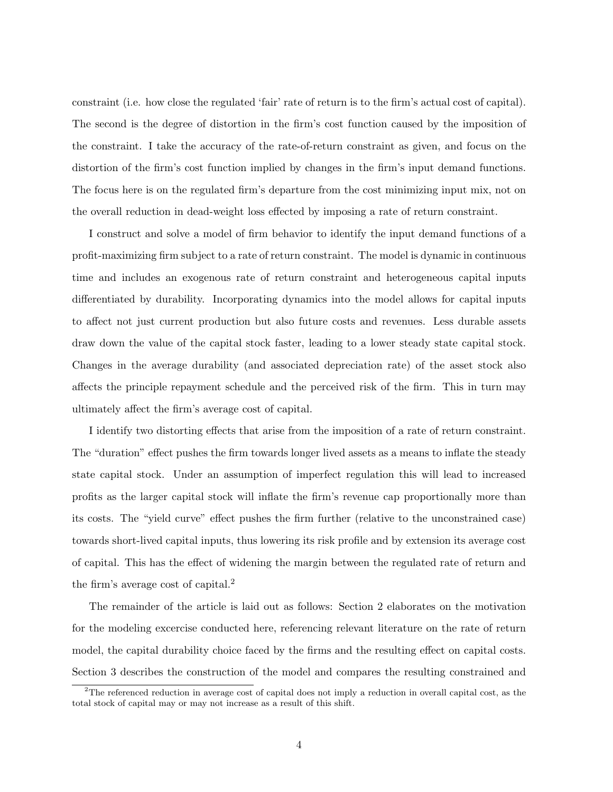constraint (i.e. how close the regulated 'fair' rate of return is to the firm's actual cost of capital). The second is the degree of distortion in the firm's cost function caused by the imposition of the constraint. I take the accuracy of the rate-of-return constraint as given, and focus on the distortion of the firm's cost function implied by changes in the firm's input demand functions. The focus here is on the regulated firm's departure from the cost minimizing input mix, not on the overall reduction in dead-weight loss effected by imposing a rate of return constraint.

I construct and solve a model of firm behavior to identify the input demand functions of a profit-maximizing firm subject to a rate of return constraint. The model is dynamic in continuous time and includes an exogenous rate of return constraint and heterogeneous capital inputs differentiated by durability. Incorporating dynamics into the model allows for capital inputs to affect not just current production but also future costs and revenues. Less durable assets draw down the value of the capital stock faster, leading to a lower steady state capital stock. Changes in the average durability (and associated depreciation rate) of the asset stock also affects the principle repayment schedule and the perceived risk of the firm. This in turn may ultimately affect the firm's average cost of capital.

I identify two distorting effects that arise from the imposition of a rate of return constraint. The "duration" effect pushes the firm towards longer lived assets as a means to inflate the steady state capital stock. Under an assumption of imperfect regulation this will lead to increased profits as the larger capital stock will inflate the firm's revenue cap proportionally more than its costs. The "yield curve" effect pushes the firm further (relative to the unconstrained case) towards short-lived capital inputs, thus lowering its risk profile and by extension its average cost of capital. This has the effect of widening the margin between the regulated rate of return and the firm's average cost of capital.<sup>2</sup>

The remainder of the article is laid out as follows: Section 2 elaborates on the motivation for the modeling excercise conducted here, referencing relevant literature on the rate of return model, the capital durability choice faced by the firms and the resulting effect on capital costs. Section 3 describes the construction of the model and compares the resulting constrained and

<sup>&</sup>lt;sup>2</sup>The referenced reduction in average cost of capital does not imply a reduction in overall capital cost, as the total stock of capital may or may not increase as a result of this shift.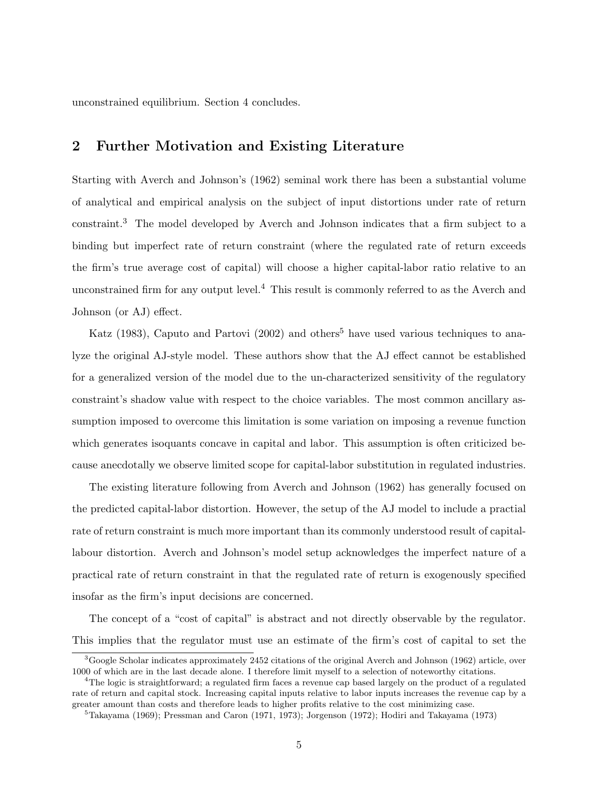unconstrained equilibrium. Section 4 concludes.

### 2 Further Motivation and Existing Literature

Starting with Averch and Johnson's (1962) seminal work there has been a substantial volume of analytical and empirical analysis on the subject of input distortions under rate of return constraint.<sup>3</sup> The model developed by Averch and Johnson indicates that a firm subject to a binding but imperfect rate of return constraint (where the regulated rate of return exceeds the firm's true average cost of capital) will choose a higher capital-labor ratio relative to an unconstrained firm for any output level.<sup>4</sup> This result is commonly referred to as the Averch and Johnson (or AJ) effect.

Katz (1983), Caputo and Partovi (2002) and others<sup>5</sup> have used various techniques to analyze the original AJ-style model. These authors show that the AJ effect cannot be established for a generalized version of the model due to the un-characterized sensitivity of the regulatory constraint's shadow value with respect to the choice variables. The most common ancillary assumption imposed to overcome this limitation is some variation on imposing a revenue function which generates isoquants concave in capital and labor. This assumption is often criticized because anecdotally we observe limited scope for capital-labor substitution in regulated industries.

The existing literature following from Averch and Johnson (1962) has generally focused on the predicted capital-labor distortion. However, the setup of the AJ model to include a practial rate of return constraint is much more important than its commonly understood result of capitallabour distortion. Averch and Johnson's model setup acknowledges the imperfect nature of a practical rate of return constraint in that the regulated rate of return is exogenously specified insofar as the firm's input decisions are concerned.

The concept of a "cost of capital" is abstract and not directly observable by the regulator. This implies that the regulator must use an estimate of the firm's cost of capital to set the

 $3$ Google Scholar indicates approximately 2452 citations of the original Averch and Johnson (1962) article, over 1000 of which are in the last decade alone. I therefore limit myself to a selection of noteworthy citations.

<sup>4</sup>The logic is straightforward; a regulated firm faces a revenue cap based largely on the product of a regulated rate of return and capital stock. Increasing capital inputs relative to labor inputs increases the revenue cap by a greater amount than costs and therefore leads to higher profits relative to the cost minimizing case.

 ${}^{5}$ Takayama (1969); Pressman and Caron (1971, 1973); Jorgenson (1972); Hodiri and Takayama (1973)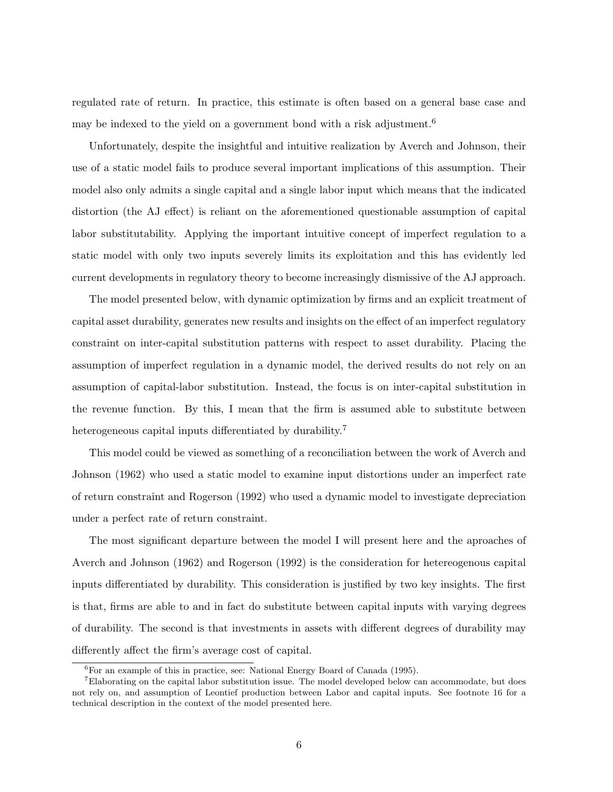regulated rate of return. In practice, this estimate is often based on a general base case and may be indexed to the yield on a government bond with a risk adjustment.<sup>6</sup>

Unfortunately, despite the insightful and intuitive realization by Averch and Johnson, their use of a static model fails to produce several important implications of this assumption. Their model also only admits a single capital and a single labor input which means that the indicated distortion (the AJ effect) is reliant on the aforementioned questionable assumption of capital labor substitutability. Applying the important intuitive concept of imperfect regulation to a static model with only two inputs severely limits its exploitation and this has evidently led current developments in regulatory theory to become increasingly dismissive of the AJ approach.

The model presented below, with dynamic optimization by firms and an explicit treatment of capital asset durability, generates new results and insights on the effect of an imperfect regulatory constraint on inter-capital substitution patterns with respect to asset durability. Placing the assumption of imperfect regulation in a dynamic model, the derived results do not rely on an assumption of capital-labor substitution. Instead, the focus is on inter-capital substitution in the revenue function. By this, I mean that the firm is assumed able to substitute between heterogeneous capital inputs differentiated by durability.<sup>7</sup>

This model could be viewed as something of a reconciliation between the work of Averch and Johnson (1962) who used a static model to examine input distortions under an imperfect rate of return constraint and Rogerson (1992) who used a dynamic model to investigate depreciation under a perfect rate of return constraint.

The most significant departure between the model I will present here and the aproaches of Averch and Johnson (1962) and Rogerson (1992) is the consideration for hetereogenous capital inputs differentiated by durability. This consideration is justified by two key insights. The first is that, firms are able to and in fact do substitute between capital inputs with varying degrees of durability. The second is that investments in assets with different degrees of durability may differently affect the firm's average cost of capital.

 ${}^{6}$ For an example of this in practice, see: National Energy Board of Canada (1995).

<sup>7</sup>Elaborating on the capital labor substitution issue. The model developed below can accommodate, but does not rely on, and assumption of Leontief production between Labor and capital inputs. See footnote 16 for a technical description in the context of the model presented here.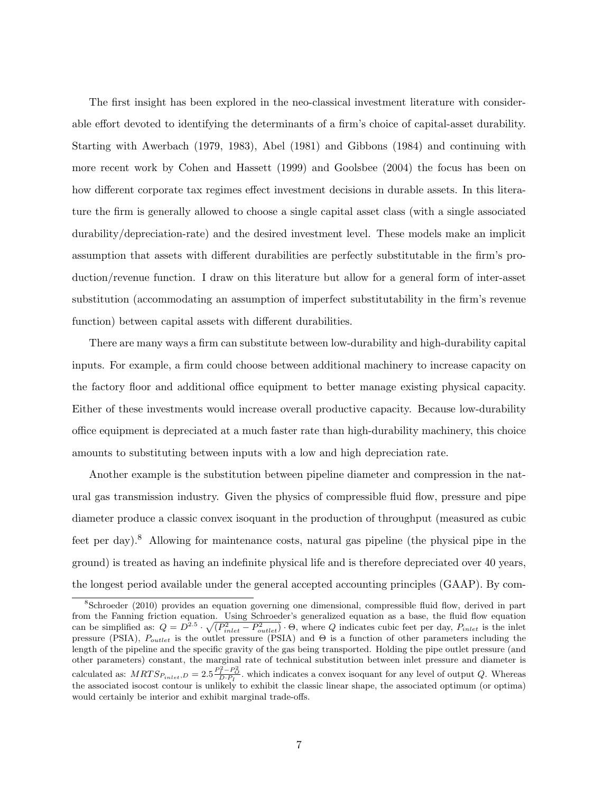The first insight has been explored in the neo-classical investment literature with considerable effort devoted to identifying the determinants of a firm's choice of capital-asset durability. Starting with Awerbach (1979, 1983), Abel (1981) and Gibbons (1984) and continuing with more recent work by Cohen and Hassett (1999) and Goolsbee (2004) the focus has been on how different corporate tax regimes effect investment decisions in durable assets. In this literature the firm is generally allowed to choose a single capital asset class (with a single associated durability/depreciation-rate) and the desired investment level. These models make an implicit assumption that assets with different durabilities are perfectly substitutable in the firm's production/revenue function. I draw on this literature but allow for a general form of inter-asset substitution (accommodating an assumption of imperfect substitutability in the firm's revenue function) between capital assets with different durabilities.

There are many ways a firm can substitute between low-durability and high-durability capital inputs. For example, a firm could choose between additional machinery to increase capacity on the factory floor and additional office equipment to better manage existing physical capacity. Either of these investments would increase overall productive capacity. Because low-durability office equipment is depreciated at a much faster rate than high-durability machinery, this choice amounts to substituting between inputs with a low and high depreciation rate.

Another example is the substitution between pipeline diameter and compression in the natural gas transmission industry. Given the physics of compressible fluid flow, pressure and pipe diameter produce a classic convex isoquant in the production of throughput (measured as cubic feet per day).<sup>8</sup> Allowing for maintenance costs, natural gas pipeline (the physical pipe in the ground) is treated as having an indefinite physical life and is therefore depreciated over 40 years, the longest period available under the general accepted accounting principles (GAAP). By com-

<sup>8</sup>Schroeder (2010) provides an equation governing one dimensional, compressible fluid flow, derived in part from the Fanning friction equation. Using Schroeder's generalized equation as a base, the fluid flow equation can be simplified as:  $Q = D^{2.5} \cdot \sqrt{(P_{inlet}^2 - P_{outlet}^2)} \cdot \Theta$ , where Q indicates cubic feet per day,  $P_{inlet}$  is the inlet pressure (PSIA),  $P_{outlet}$  is the outlet pressure (PSIA) and  $\Theta$  is a function of other parameters including the length of the pipeline and the specific gravity of the gas being transported. Holding the pipe outlet pressure (and other parameters) constant, the marginal rate of technical substitution between inlet pressure and diameter is calculated as:  $MRTS_{P_{inlet},D} = 2.5 \frac{P_I^2 - P_O^2}{D \cdot P_I}$ , which indicates a convex isoquant for any level of output Q. Whereas the associated isocost contour is unlikely to exhibit the classic linear shape, the associated optimum (or optima) would certainly be interior and exhibit marginal trade-offs.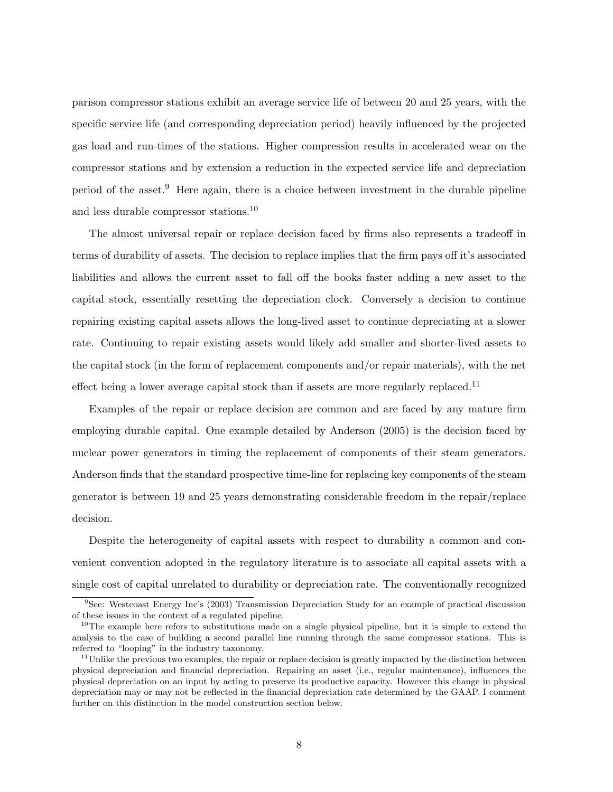parison compressor stations exhibit an average service life of between 20 and 25 years, with the specific service life (and corresponding depreciation period) heavily influenced by the projected gas load and run-times of the stations. Higher compression results in accelerated wear on the compressor stations and by extension a reduction in the expected service life and depreciation period of the asset.<sup>9</sup> Here again, there is a choice between investment in the durable pipeline and less durable compressor stations.<sup>10</sup>

The almost universal repair or replace decision faced by firms also represents a tradeoff in terms of durability of assets. The decision to replace implies that the firm pays off it's associated liabilities and allows the current asset to fall off the books faster adding a new asset to the capital stock, essentially resetting the depreciation clock. Conversely a decision to continue repairing existing capital assets allows the long-lived asset to continue depreciating at a slower rate. Continuing to repair existing assets would likely add smaller and shorter-lived assets to the capital stock (in the form of replacement components and/or repair materials), with the net effect being a lower average capital stock than if assets are more regularly replaced.<sup>11</sup>

Examples of the repair or replace decision are common and are faced by any mature firm employing durable capital. One example detailed by Anderson (2005) is the decision faced by nuclear power generators in timing the replacement of components of their steam generators. Anderson finds that the standard prospective time-line for replacing key components of the steam generator is between 19 and 25 years demonstrating considerable freedom in the repair/replace decision.

Despite the heterogeneity of capital assets with respect to durability a common and convenient convention adopted in the regulatory literature is to associate all capital assets with a single cost of capital unrelated to durability or depreciation rate. The conventionally recognized

<sup>9</sup>See: Westcoast Energy Inc's (2003) Transmission Depreciation Study for an example of practical discussion of these issues in the context of a regulated pipeline.

<sup>&</sup>lt;sup>10</sup>The example here refers to substitutions made on a single physical pipeline, but it is simple to extend the analysis to the case of building a second parallel line running through the same compressor stations. This is referred to "looping" in the industry taxonomy.

 $11$ Unlike the previous two examples, the repair or replace decision is greatly impacted by the distinction between physical depreciation and financial depreciation. Repairing an asset (i.e., regular maintenance), influences the physical depreciation on an input by acting to preserve its productive capacity. However this change in physical depreciation may or may not be reflected in the financial depreciation rate determined by the GAAP. I comment further on this distinction in the model construction section below.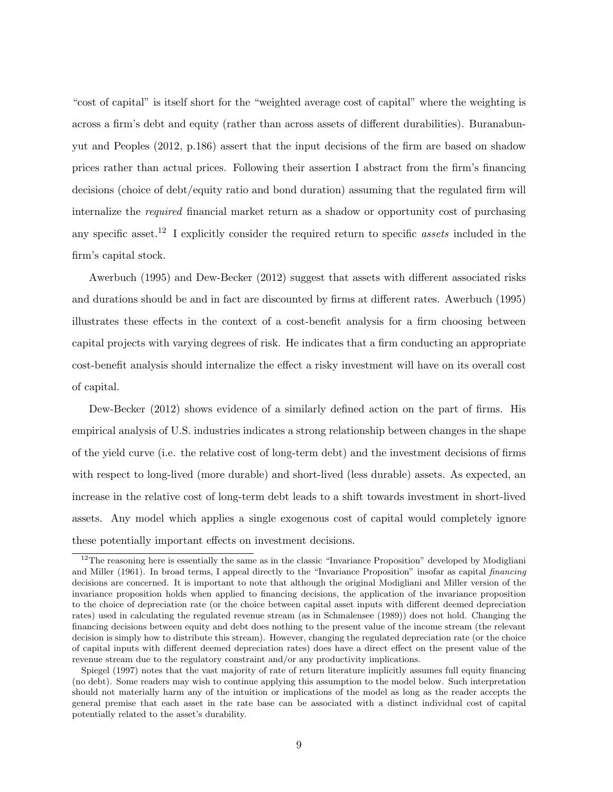"cost of capital" is itself short for the "weighted average cost of capital" where the weighting is across a firm's debt and equity (rather than across assets of different durabilities). Buranabunyut and Peoples (2012, p.186) assert that the input decisions of the firm are based on shadow prices rather than actual prices. Following their assertion I abstract from the firm's financing decisions (choice of debt/equity ratio and bond duration) assuming that the regulated firm will internalize the required financial market return as a shadow or opportunity cost of purchasing any specific asset.<sup>12</sup> I explicitly consider the required return to specific *assets* included in the firm's capital stock.

Awerbuch (1995) and Dew-Becker (2012) suggest that assets with different associated risks and durations should be and in fact are discounted by firms at different rates. Awerbuch (1995) illustrates these effects in the context of a cost-benefit analysis for a firm choosing between capital projects with varying degrees of risk. He indicates that a firm conducting an appropriate cost-benefit analysis should internalize the effect a risky investment will have on its overall cost of capital.

Dew-Becker (2012) shows evidence of a similarly defined action on the part of firms. His empirical analysis of U.S. industries indicates a strong relationship between changes in the shape of the yield curve (i.e. the relative cost of long-term debt) and the investment decisions of firms with respect to long-lived (more durable) and short-lived (less durable) assets. As expected, an increase in the relative cost of long-term debt leads to a shift towards investment in short-lived assets. Any model which applies a single exogenous cost of capital would completely ignore these potentially important effects on investment decisions.

 $12$ The reasoning here is essentially the same as in the classic "Invariance Proposition" developed by Modigliani and Miller (1961). In broad terms, I appeal directly to the "Invariance Proposition" insofar as capital financing decisions are concerned. It is important to note that although the original Modigliani and Miller version of the invariance proposition holds when applied to financing decisions, the application of the invariance proposition to the choice of depreciation rate (or the choice between capital asset inputs with different deemed depreciation rates) used in calculating the regulated revenue stream (as in Schmalensee (1989)) does not hold. Changing the financing decisions between equity and debt does nothing to the present value of the income stream (the relevant decision is simply how to distribute this stream). However, changing the regulated depreciation rate (or the choice of capital inputs with different deemed depreciation rates) does have a direct effect on the present value of the revenue stream due to the regulatory constraint and/or any productivity implications.

Spiegel (1997) notes that the vast majority of rate of return literature implicitly assumes full equity financing (no debt). Some readers may wish to continue applying this assumption to the model below. Such interpretation should not materially harm any of the intuition or implications of the model as long as the reader accepts the general premise that each asset in the rate base can be associated with a distinct individual cost of capital potentially related to the asset's durability.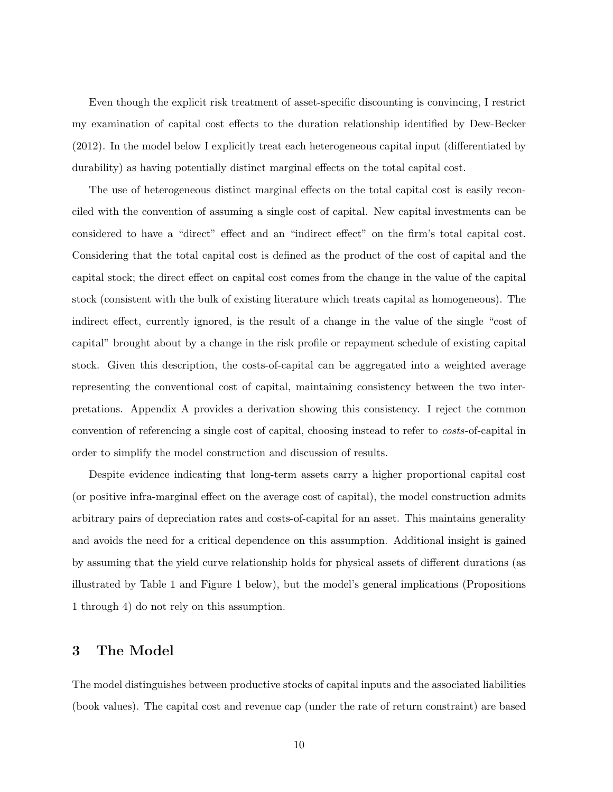Even though the explicit risk treatment of asset-specific discounting is convincing, I restrict my examination of capital cost effects to the duration relationship identified by Dew-Becker (2012). In the model below I explicitly treat each heterogeneous capital input (differentiated by durability) as having potentially distinct marginal effects on the total capital cost.

The use of heterogeneous distinct marginal effects on the total capital cost is easily reconciled with the convention of assuming a single cost of capital. New capital investments can be considered to have a "direct" effect and an "indirect effect" on the firm's total capital cost. Considering that the total capital cost is defined as the product of the cost of capital and the capital stock; the direct effect on capital cost comes from the change in the value of the capital stock (consistent with the bulk of existing literature which treats capital as homogeneous). The indirect effect, currently ignored, is the result of a change in the value of the single "cost of capital" brought about by a change in the risk profile or repayment schedule of existing capital stock. Given this description, the costs-of-capital can be aggregated into a weighted average representing the conventional cost of capital, maintaining consistency between the two interpretations. Appendix A provides a derivation showing this consistency. I reject the common convention of referencing a single cost of capital, choosing instead to refer to costs-of-capital in order to simplify the model construction and discussion of results.

Despite evidence indicating that long-term assets carry a higher proportional capital cost (or positive infra-marginal effect on the average cost of capital), the model construction admits arbitrary pairs of depreciation rates and costs-of-capital for an asset. This maintains generality and avoids the need for a critical dependence on this assumption. Additional insight is gained by assuming that the yield curve relationship holds for physical assets of different durations (as illustrated by Table 1 and Figure 1 below), but the model's general implications (Propositions 1 through 4) do not rely on this assumption.

## 3 The Model

The model distinguishes between productive stocks of capital inputs and the associated liabilities (book values). The capital cost and revenue cap (under the rate of return constraint) are based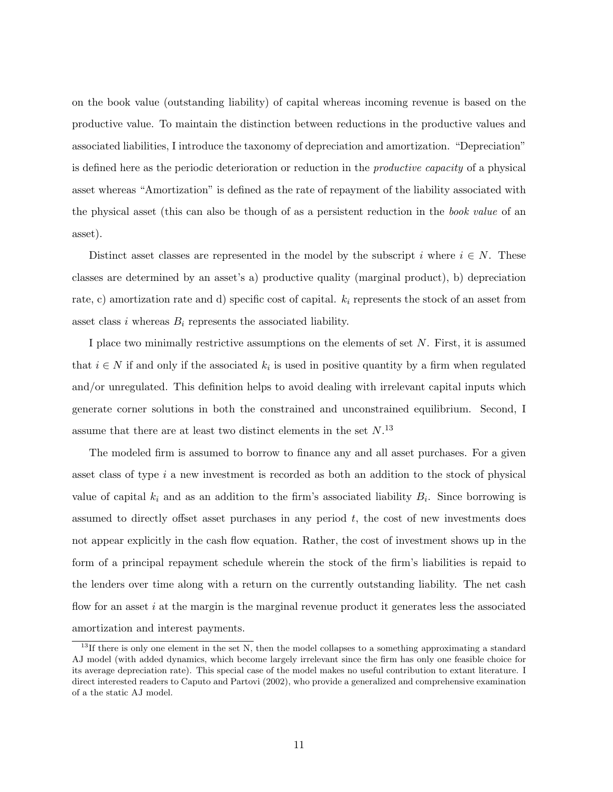on the book value (outstanding liability) of capital whereas incoming revenue is based on the productive value. To maintain the distinction between reductions in the productive values and associated liabilities, I introduce the taxonomy of depreciation and amortization. "Depreciation" is defined here as the periodic deterioration or reduction in the productive capacity of a physical asset whereas "Amortization" is defined as the rate of repayment of the liability associated with the physical asset (this can also be though of as a persistent reduction in the book value of an asset).

Distinct asset classes are represented in the model by the subscript i where  $i \in N$ . These classes are determined by an asset's a) productive quality (marginal product), b) depreciation rate, c) amortization rate and d) specific cost of capital.  $k_i$  represents the stock of an asset from asset class i whereas  $B_i$  represents the associated liability.

I place two minimally restrictive assumptions on the elements of set N. First, it is assumed that  $i \in N$  if and only if the associated  $k_i$  is used in positive quantity by a firm when regulated and/or unregulated. This definition helps to avoid dealing with irrelevant capital inputs which generate corner solutions in both the constrained and unconstrained equilibrium. Second, I assume that there are at least two distinct elements in the set  $N$ .<sup>13</sup>

The modeled firm is assumed to borrow to finance any and all asset purchases. For a given asset class of type i a new investment is recorded as both an addition to the stock of physical value of capital  $k_i$  and as an addition to the firm's associated liability  $B_i$ . Since borrowing is assumed to directly offset asset purchases in any period  $t$ , the cost of new investments does not appear explicitly in the cash flow equation. Rather, the cost of investment shows up in the form of a principal repayment schedule wherein the stock of the firm's liabilities is repaid to the lenders over time along with a return on the currently outstanding liability. The net cash flow for an asset  $i$  at the margin is the marginal revenue product it generates less the associated amortization and interest payments.

<sup>&</sup>lt;sup>13</sup>If there is only one element in the set N, then the model collapses to a something approximating a standard AJ model (with added dynamics, which become largely irrelevant since the firm has only one feasible choice for its average depreciation rate). This special case of the model makes no useful contribution to extant literature. I direct interested readers to Caputo and Partovi (2002), who provide a generalized and comprehensive examination of a the static AJ model.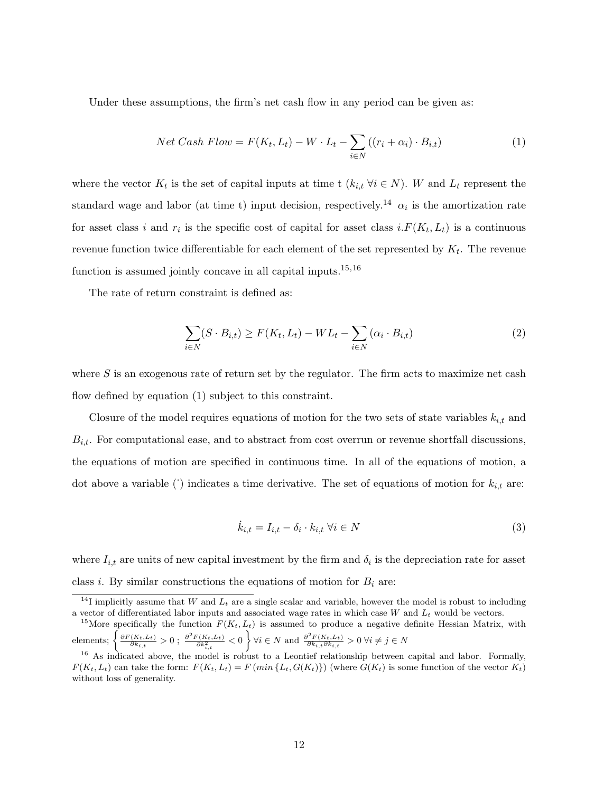Under these assumptions, the firm's net cash flow in any period can be given as:

$$
Net Cash Flow = F(K_t, L_t) - W \cdot L_t - \sum_{i \in N} ((r_i + \alpha_i) \cdot B_{i,t})
$$
\n
$$
(1)
$$

where the vector  $K_t$  is the set of capital inputs at time t  $(k_{i,t} \forall i \in N)$ . W and  $L_t$  represent the standard wage and labor (at time t) input decision, respectively.<sup>14</sup>  $\alpha_i$  is the amortization rate for asset class i and  $r_i$  is the specific cost of capital for asset class  $i.F(K_t, L_t)$  is a continuous revenue function twice differentiable for each element of the set represented by  $K_t$ . The revenue function is assumed jointly concave in all capital inputs.<sup>15,16</sup>

The rate of return constraint is defined as:

$$
\sum_{i \in N} (S \cdot B_{i,t}) \ge F(K_t, L_t) - WL_t - \sum_{i \in N} (\alpha_i \cdot B_{i,t})
$$
\n
$$
(2)
$$

where  $S$  is an exogenous rate of return set by the regulator. The firm acts to maximize net cash flow defined by equation (1) subject to this constraint.

Closure of the model requires equations of motion for the two sets of state variables  $k_{i,t}$  and  $B_{i,t}$ . For computational ease, and to abstract from cost overrun or revenue shortfall discussions, the equations of motion are specified in continuous time. In all of the equations of motion, a dot above a variable ( $\dot{\phantom{a}}$ ) indicates a time derivative. The set of equations of motion for  $k_{i,t}$  are:

$$
\dot{k}_{i,t} = I_{i,t} - \delta_i \cdot k_{i,t} \,\forall i \in N \tag{3}
$$

where  $I_{i,t}$  are units of new capital investment by the firm and  $\delta_i$  is the depreciation rate for asset class i. By similar constructions the equations of motion for  $B_i$  are:

<sup>&</sup>lt;sup>14</sup>I implicitly assume that W and  $L_t$  are a single scalar and variable, however the model is robust to including a vector of differentiated labor inputs and associated wage rates in which case  $W$  and  $L_t$  would be vectors.

<sup>&</sup>lt;sup>15</sup>More specifically the function  $F(K_t, L_t)$  is assumed to produce a negative definite Hessian Matrix, with elements;  $\left\{\frac{\partial F(K_t, L_t)}{\partial k_{i,t}} > 0; \frac{\partial^2 F(K_t, L_t)}{\partial k_{i,t}^2} < 0\right\} \forall i \in \mathbb{N} \text{ and } \frac{\partial^2 F(K_t, L_t)}{\partial k_{i,t} \partial k_{i,t}} > 0 \ \forall i \neq j \in \mathbb{N}$ 

<sup>&</sup>lt;sup>16</sup> As indicated above, the model is robust to a Leontief relationship between capital and labor. Formally,  $F(K_t, L_t)$  can take the form:  $F(K_t, L_t) = F(min\{L_t, G(K_t)\})$  (where  $G(K_t)$  is some function of the vector  $K_t$ ) without loss of generality.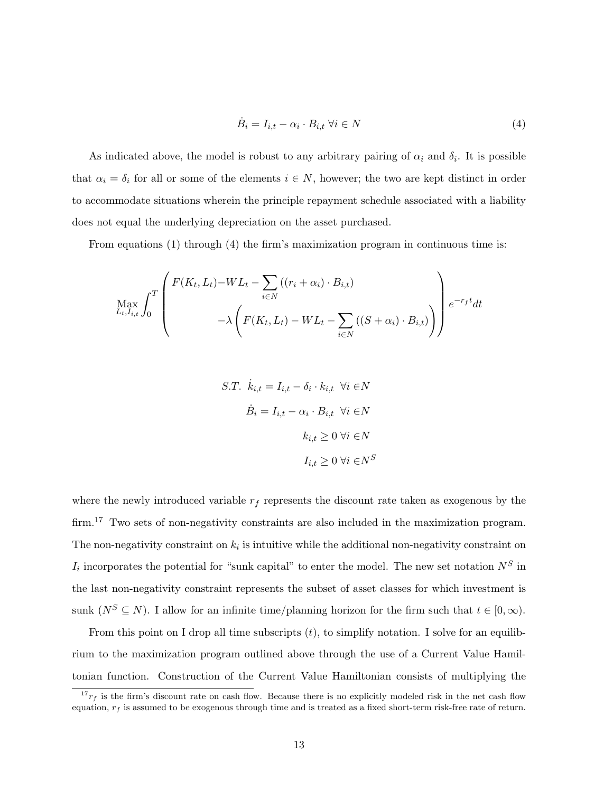$$
\dot{B}_i = I_{i,t} - \alpha_i \cdot B_{i,t} \,\forall i \in N \tag{4}
$$

As indicated above, the model is robust to any arbitrary pairing of  $\alpha_i$  and  $\delta_i$ . It is possible that  $\alpha_i = \delta_i$  for all or some of the elements  $i \in N$ , however; the two are kept distinct in order to accommodate situations wherein the principle repayment schedule associated with a liability does not equal the underlying depreciation on the asset purchased.

From equations (1) through (4) the firm's maximization program in continuous time is:

$$
\max_{L_t, I_{i,t}} \int_0^T \left( \frac{F(K_t, L_t) - WL_t - \sum_{i \in N} ((r_i + \alpha_i) \cdot B_{i,t})}{-\lambda \left( F(K_t, L_t) - WL_t - \sum_{i \in N} ((S + \alpha_i) \cdot B_{i,t}) \right)} \right) e^{-r_f t} dt
$$

S.T. 
$$
\dot{k}_{i,t} = I_{i,t} - \delta_i \cdot k_{i,t} \quad \forall i \in N
$$
  
\n $\dot{B}_i = I_{i,t} - \alpha_i \cdot B_{i,t} \quad \forall i \in N$   
\n $k_{i,t} \geq 0 \quad \forall i \in N$   
\n $I_{i,t} \geq 0 \quad \forall i \in N^S$ 

where the newly introduced variable  $r_f$  represents the discount rate taken as exogenous by the firm.<sup>17</sup> Two sets of non-negativity constraints are also included in the maximization program. The non-negativity constraint on  $k_i$  is intuitive while the additional non-negativity constraint on  $I_i$  incorporates the potential for "sunk capital" to enter the model. The new set notation  $N^S$  in the last non-negativity constraint represents the subset of asset classes for which investment is sunk  $(N^S \subseteq N)$ . I allow for an infinite time/planning horizon for the firm such that  $t \in [0, \infty)$ .

From this point on I drop all time subscripts  $(t)$ , to simplify notation. I solve for an equilibrium to the maximization program outlined above through the use of a Current Value Hamiltonian function. Construction of the Current Value Hamiltonian consists of multiplying the

 $\frac{17}{17}$  is the firm's discount rate on cash flow. Because there is no explicitly modeled risk in the net cash flow equation,  $r_f$  is assumed to be exogenous through time and is treated as a fixed short-term risk-free rate of return.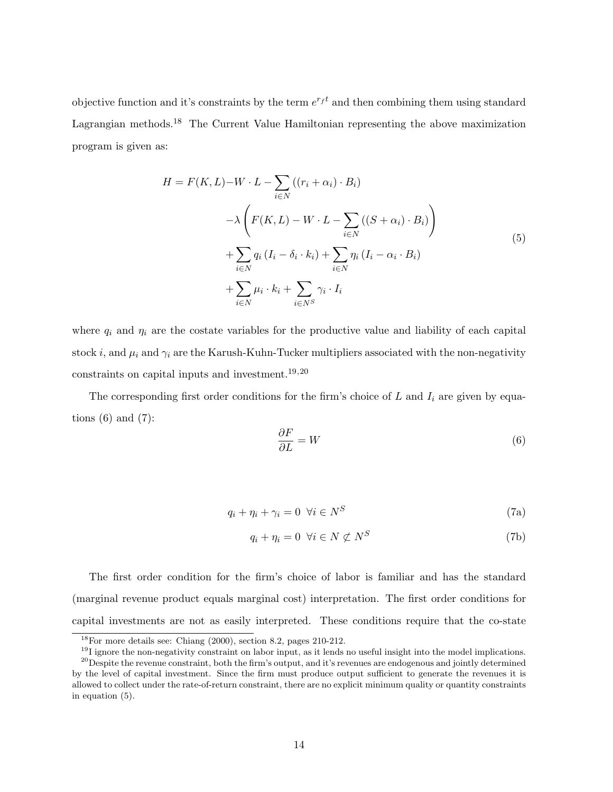objective function and it's constraints by the term  $e^{r_f t}$  and then combining them using standard Lagrangian methods.<sup>18</sup> The Current Value Hamiltonian representing the above maximization program is given as:

$$
H = F(K, L) - W \cdot L - \sum_{i \in N} ((r_i + \alpha_i) \cdot B_i)
$$
  

$$
- \lambda \left( F(K, L) - W \cdot L - \sum_{i \in N} ((S + \alpha_i) \cdot B_i) \right)
$$
  

$$
+ \sum_{i \in N} q_i (I_i - \delta_i \cdot k_i) + \sum_{i \in N} \eta_i (I_i - \alpha_i \cdot B_i)
$$
  

$$
+ \sum_{i \in N} \mu_i \cdot k_i + \sum_{i \in N^S} \gamma_i \cdot I_i
$$
 (5)

where  $q_i$  and  $\eta_i$  are the costate variables for the productive value and liability of each capital stock i, and  $\mu_i$  and  $\gamma_i$  are the Karush-Kuhn-Tucker multipliers associated with the non-negativity constraints on capital inputs and investment.19,20

The corresponding first order conditions for the firm's choice of  $L$  and  $I_i$  are given by equations  $(6)$  and  $(7)$ :

$$
\frac{\partial F}{\partial L} = W \tag{6}
$$

$$
q_i + \eta_i + \gamma_i = 0 \quad \forall i \in N^S \tag{7a}
$$

$$
q_i + \eta_i = 0 \quad \forall i \in N \not\subset N^S \tag{7b}
$$

The first order condition for the firm's choice of labor is familiar and has the standard (marginal revenue product equals marginal cost) interpretation. The first order conditions for capital investments are not as easily interpreted. These conditions require that the co-state

<sup>&</sup>lt;sup>18</sup>For more details see: Chiang  $(2000)$ , section 8.2, pages 210-212.

 $191$  ignore the non-negativity constraint on labor input, as it lends no useful insight into the model implications.  $^{20}$ Despite the revenue constraint, both the firm's output, and it's revenues are endogenous and jointly determined by the level of capital investment. Since the firm must produce output sufficient to generate the revenues it is allowed to collect under the rate-of-return constraint, there are no explicit minimum quality or quantity constraints in equation (5).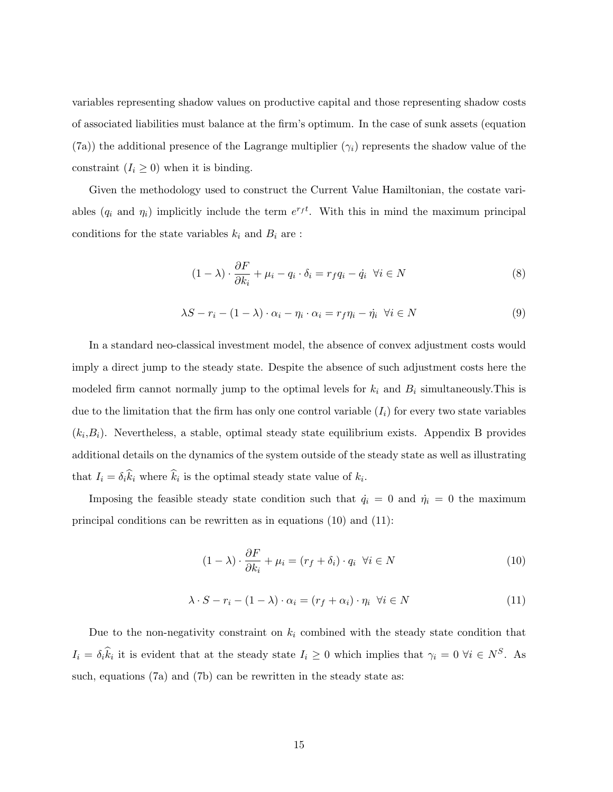variables representing shadow values on productive capital and those representing shadow costs of associated liabilities must balance at the firm's optimum. In the case of sunk assets (equation (7a)) the additional presence of the Lagrange multiplier  $(\gamma_i)$  represents the shadow value of the constraint  $(I_i \geq 0)$  when it is binding.

Given the methodology used to construct the Current Value Hamiltonian, the costate variables  $(q_i$  and  $\eta_i)$  implicitly include the term  $e^{r_f t}$ . With this in mind the maximum principal conditions for the state variables  $k_i$  and  $B_i$  are :

$$
(1 - \lambda) \cdot \frac{\partial F}{\partial k_i} + \mu_i - q_i \cdot \delta_i = r_f q_i - \dot{q}_i \ \forall i \in N
$$
\n
$$
(8)
$$

$$
\lambda S - r_i - (1 - \lambda) \cdot \alpha_i - \eta_i \cdot \alpha_i = r_f \eta_i - \dot{\eta}_i \ \forall i \in N
$$
\n(9)

In a standard neo-classical investment model, the absence of convex adjustment costs would imply a direct jump to the steady state. Despite the absence of such adjustment costs here the modeled firm cannot normally jump to the optimal levels for  $k_i$  and  $B_i$  simultaneously. This is due to the limitation that the firm has only one control variable  $(I_i)$  for every two state variables  $(k<sub>i</sub>, B<sub>i</sub>)$ . Nevertheless, a stable, optimal steady state equilibrium exists. Appendix B provides additional details on the dynamics of the system outside of the steady state as well as illustrating that  $I_i = \delta_i k_i$  where  $k_i$  is the optimal steady state value of  $k_i$ .

Imposing the feasible steady state condition such that  $\dot{q}_i = 0$  and  $\dot{\eta}_i = 0$  the maximum principal conditions can be rewritten as in equations (10) and (11):

$$
(1 - \lambda) \cdot \frac{\partial F}{\partial k_i} + \mu_i = (r_f + \delta_i) \cdot q_i \ \forall i \in N
$$
\n
$$
(10)
$$

$$
\lambda \cdot S - r_i - (1 - \lambda) \cdot \alpha_i = (r_f + \alpha_i) \cdot \eta_i \ \forall i \in N
$$
\n(11)

Due to the non-negativity constraint on  $k_i$  combined with the steady state condition that  $I_i = \delta_i \hat{k}_i$  it is evident that at the steady state  $I_i \geq 0$  which implies that  $\gamma_i = 0$   $\forall i \in N^S$ . As such, equations (7a) and (7b) can be rewritten in the steady state as: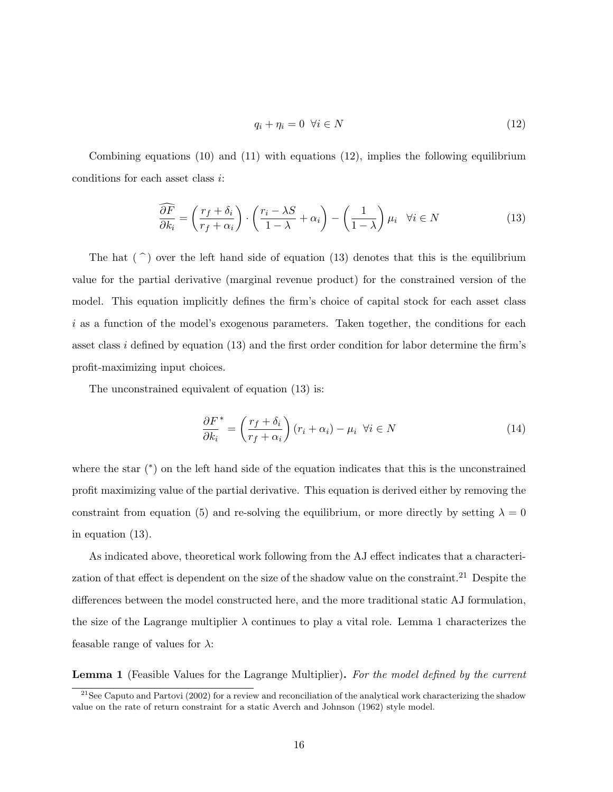$$
q_i + \eta_i = 0 \quad \forall i \in N \tag{12}
$$

Combining equations (10) and (11) with equations (12), implies the following equilibrium conditions for each asset class i:

$$
\frac{\widehat{\partial F}}{\partial k_i} = \left(\frac{r_f + \delta_i}{r_f + \alpha_i}\right) \cdot \left(\frac{r_i - \lambda S}{1 - \lambda} + \alpha_i\right) - \left(\frac{1}{1 - \lambda}\right) \mu_i \quad \forall i \in N
$$
\n(13)

The hat  $(\hat{\ })$  over the left hand side of equation (13) denotes that this is the equilibrium value for the partial derivative (marginal revenue product) for the constrained version of the model. This equation implicitly defines the firm's choice of capital stock for each asset class  $i$  as a function of the model's exogenous parameters. Taken together, the conditions for each asset class  $i$  defined by equation (13) and the first order condition for labor determine the firm's profit-maximizing input choices.

The unconstrained equivalent of equation (13) is:

$$
\frac{\partial F^*}{\partial k_i} = \left(\frac{r_f + \delta_i}{r_f + \alpha_i}\right) (r_i + \alpha_i) - \mu_i \ \forall i \in N
$$
\n(14)

where the star (<sup>∗</sup> ) on the left hand side of the equation indicates that this is the unconstrained profit maximizing value of the partial derivative. This equation is derived either by removing the constraint from equation (5) and re-solving the equilibrium, or more directly by setting  $\lambda = 0$ in equation (13).

As indicated above, theoretical work following from the AJ effect indicates that a characterization of that effect is dependent on the size of the shadow value on the constraint.<sup>21</sup> Despite the differences between the model constructed here, and the more traditional static AJ formulation, the size of the Lagrange multiplier  $\lambda$  continues to play a vital role. Lemma 1 characterizes the feasable range of values for  $\lambda$ :

Lemma 1 (Feasible Values for the Lagrange Multiplier). For the model defined by the current

<sup>&</sup>lt;sup>21</sup>See Caputo and Partovi (2002) for a review and reconciliation of the analytical work characterizing the shadow value on the rate of return constraint for a static Averch and Johnson (1962) style model.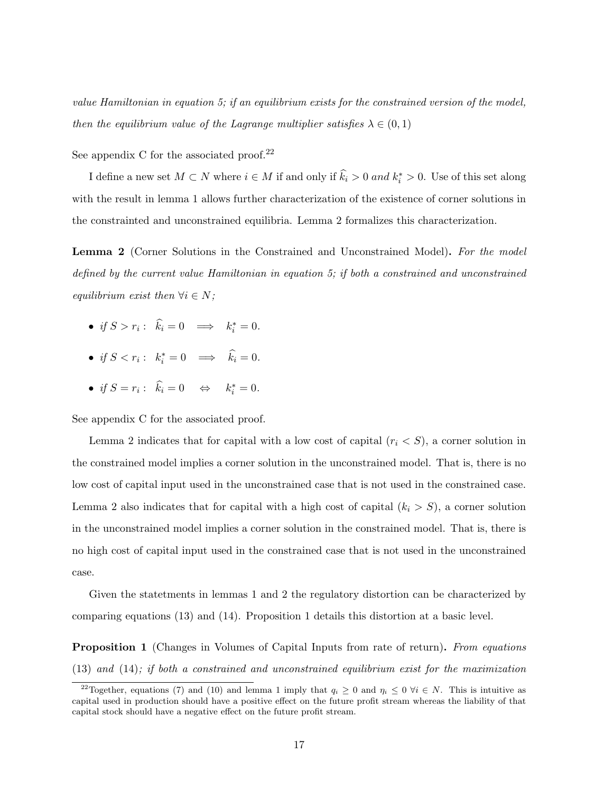value Hamiltonian in equation 5; if an equilibrium exists for the constrained version of the model, then the equilibrium value of the Lagrange multiplier satisfies  $\lambda \in (0,1)$ 

See appendix C for the associated proof.<sup>22</sup>

I define a new set  $M \subset N$  where  $i \in M$  if and only if  $\hat{k}_i > 0$  and  $k_i^* > 0$ . Use of this set along with the result in lemma 1 allows further characterization of the existence of corner solutions in the constrainted and unconstrained equilibria. Lemma 2 formalizes this characterization.

Lemma 2 (Corner Solutions in the Constrained and Unconstrained Model). For the model defined by the current value Hamiltonian in equation 5; if both a constrained and unconstrained equilibrium exist then  $\forall i \in N$ ;

- if  $S > r_i: \quad \widehat{k_i} = 0 \quad \Longrightarrow \quad k_i^* = 0.$
- if  $S < r_i: k_i^* = 0 \implies \hat{k}_i = 0.$
- if  $S = r_i : \hat{k}_i = 0 \Leftrightarrow k_i^* = 0.$

See appendix C for the associated proof.

Lemma 2 indicates that for capital with a low cost of capital  $(r_i \lt S)$ , a corner solution in the constrained model implies a corner solution in the unconstrained model. That is, there is no low cost of capital input used in the unconstrained case that is not used in the constrained case. Lemma 2 also indicates that for capital with a high cost of capital  $(k<sub>i</sub> > S)$ , a corner solution in the unconstrained model implies a corner solution in the constrained model. That is, there is no high cost of capital input used in the constrained case that is not used in the unconstrained case.

Given the statetments in lemmas 1 and 2 the regulatory distortion can be characterized by comparing equations (13) and (14). Proposition 1 details this distortion at a basic level.

**Proposition 1** (Changes in Volumes of Capital Inputs from rate of return). From equations  $(13)$  and  $(14)$ ; if both a constrained and unconstrained equilibrium exist for the maximization

<sup>&</sup>lt;sup>22</sup>Together, equations (7) and (10) and lemma 1 imply that  $q_i \ge 0$  and  $\eta_i \le 0$   $\forall i \in N$ . This is intuitive as capital used in production should have a positive effect on the future profit stream whereas the liability of that capital stock should have a negative effect on the future profit stream.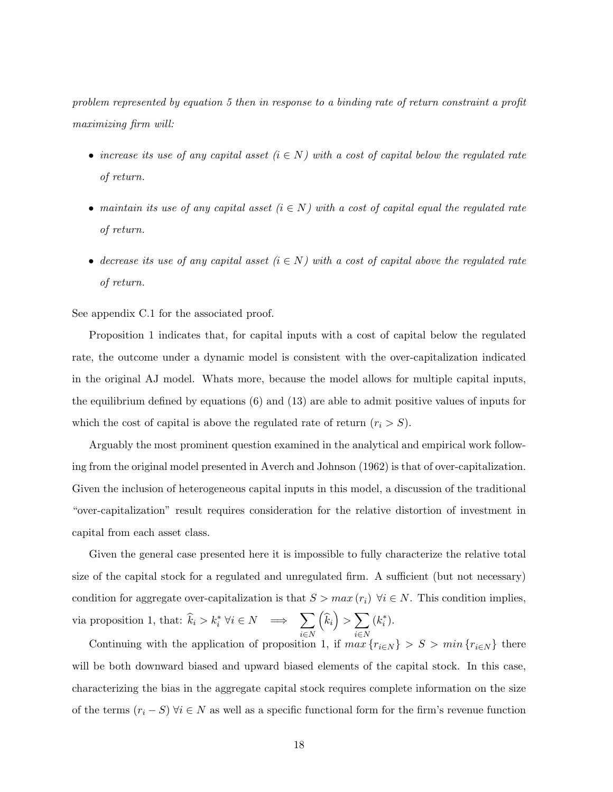problem represented by equation 5 then in response to a binding rate of return constraint a profit maximizing firm will:

- increase its use of any capital asset  $(i \in N)$  with a cost of capital below the regulated rate of return.
- maintain its use of any capital asset  $(i \in N)$  with a cost of capital equal the regulated rate of return.
- decrease its use of any capital asset  $(i \in N)$  with a cost of capital above the regulated rate of return.

See appendix C.1 for the associated proof.

Proposition 1 indicates that, for capital inputs with a cost of capital below the regulated rate, the outcome under a dynamic model is consistent with the over-capitalization indicated in the original AJ model. Whats more, because the model allows for multiple capital inputs, the equilibrium defined by equations (6) and (13) are able to admit positive values of inputs for which the cost of capital is above the regulated rate of return  $(r_i > S)$ .

Arguably the most prominent question examined in the analytical and empirical work following from the original model presented in Averch and Johnson (1962) is that of over-capitalization. Given the inclusion of heterogeneous capital inputs in this model, a discussion of the traditional "over-capitalization" result requires consideration for the relative distortion of investment in capital from each asset class.

Given the general case presented here it is impossible to fully characterize the relative total size of the capital stock for a regulated and unregulated firm. A sufficient (but not necessary) condition for aggregate over-capitalization is that  $S > max(r_i)$   $\forall i \in N$ . This condition implies, via proposition 1, that:  $\hat{k}_i > k_i^* \ \forall i \in N \implies \sum$ i∈N  $\left(\widehat{k}_i\right) > \sum$ i∈N  $(k_i^*).$ 

Continuing with the application of proposition 1, if  $max\{r_{i\in N}\} > S > min\{r_{i\in N}\}\)$  there will be both downward biased and upward biased elements of the capital stock. In this case, characterizing the bias in the aggregate capital stock requires complete information on the size of the terms  $(r_i - S)$   $\forall i \in N$  as well as a specific functional form for the firm's revenue function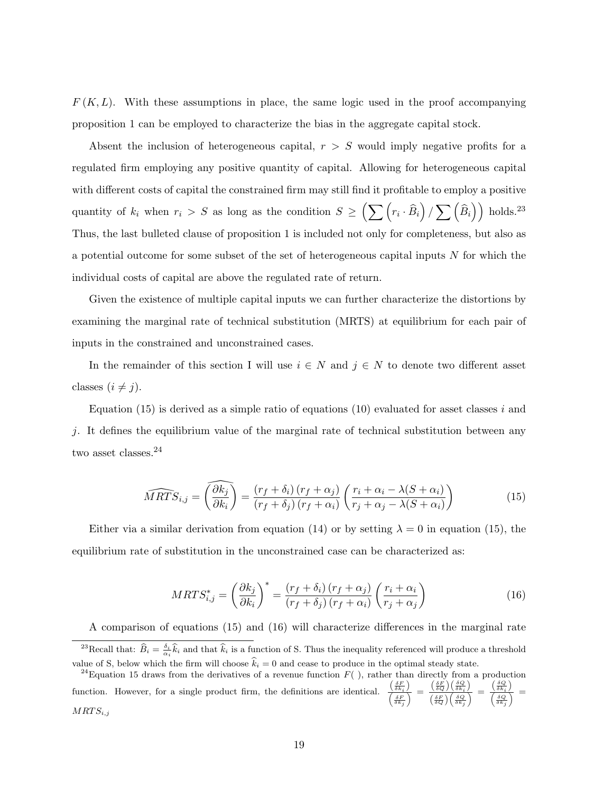$F(K, L)$ . With these assumptions in place, the same logic used in the proof accompanying proposition 1 can be employed to characterize the bias in the aggregate capital stock.

Absent the inclusion of heterogeneous capital,  $r > S$  would imply negative profits for a regulated firm employing any positive quantity of capital. Allowing for heterogeneous capital with different costs of capital the constrained firm may still find it profitable to employ a positive quantity of  $k_i$  when  $r_i > S$  as long as the condition  $S \geq \left( \sum \left( r_i \cdot \widehat{B}_i \right) / \sum \left( \widehat{B}_i \right) \right)$  holds.<sup>23</sup> Thus, the last bulleted clause of proposition 1 is included not only for completeness, but also as a potential outcome for some subset of the set of heterogeneous capital inputs N for which the individual costs of capital are above the regulated rate of return.

Given the existence of multiple capital inputs we can further characterize the distortions by examining the marginal rate of technical substitution (MRTS) at equilibrium for each pair of inputs in the constrained and unconstrained cases.

In the remainder of this section I will use  $i \in N$  and  $j \in N$  to denote two different asset classes  $(i \neq j)$ .

Equation  $(15)$  is derived as a simple ratio of equations  $(10)$  evaluated for asset classes i and j. It defines the equilibrium value of the marginal rate of technical substitution between any two asset classes.<sup>24</sup>

$$
\widehat{MRTS}_{i,j} = \widehat{\left(\frac{\partial k_j}{\partial k_i}\right)} = \frac{(r_f + \delta_i)(r_f + \alpha_j)}{(r_f + \delta_j)(r_f + \alpha_i)} \left(\frac{r_i + \alpha_i - \lambda(S + \alpha_i)}{r_j + \alpha_j - \lambda(S + \alpha_i)}\right)
$$
(15)

Either via a similar derivation from equation (14) or by setting  $\lambda = 0$  in equation (15), the equilibrium rate of substitution in the unconstrained case can be characterized as:

$$
MRTS_{i,j}^* = \left(\frac{\partial k_j}{\partial k_i}\right)^* = \frac{\left(r_f + \delta_i\right)\left(r_f + \alpha_j\right)}{\left(r_f + \delta_j\right)\left(r_f + \alpha_i\right)} \left(\frac{r_i + \alpha_i}{r_j + \alpha_j}\right) \tag{16}
$$

A comparison of equations (15) and (16) will characterize differences in the marginal rate

<sup>&</sup>lt;sup>23</sup>Recall that:  $\hat{B}_i = \frac{\delta_i}{\alpha_i} \hat{k}_i$  and that  $\hat{k}_i$  is a function of S. Thus the inequality referenced will produce a threshold value of S, below which the firm will choose  $\hat{k}_i = 0$  and cease to produce in the optimal steady state.

<sup>&</sup>lt;sup>24</sup>Equation 15 draws from the derivatives of a revenue function  $F( )$ , rather than directly from a production function. However, for a single product firm, the definitions are identical.  $\frac{\delta F}{\delta \kappa_1}$  $\left(\frac{\delta F}{\delta k_j}\right)$  $\frac{\left(\frac{\delta F}{\delta Q}\right)\left(\frac{\delta Q}{\delta k_i}\right)}{\left(\frac{\delta F}{\delta K_i}\right)\left(\frac{\delta Q}{\delta Q}\right)}$  $\left(\frac{\delta F}{\delta Q}\right)\left(\frac{\delta Q}{\delta k_j}\right)$  $\frac{1}{\sqrt{2}} = \frac{\left(\frac{\delta Q}{\delta k_i}\right)}{\left(\frac{\delta Q}{\delta Q}\right)}$  $\left(\frac{\delta Q}{\delta k_j}\right)$  $\frac{1}{\sqrt{2}}$  =  $MRTS_{i,j}$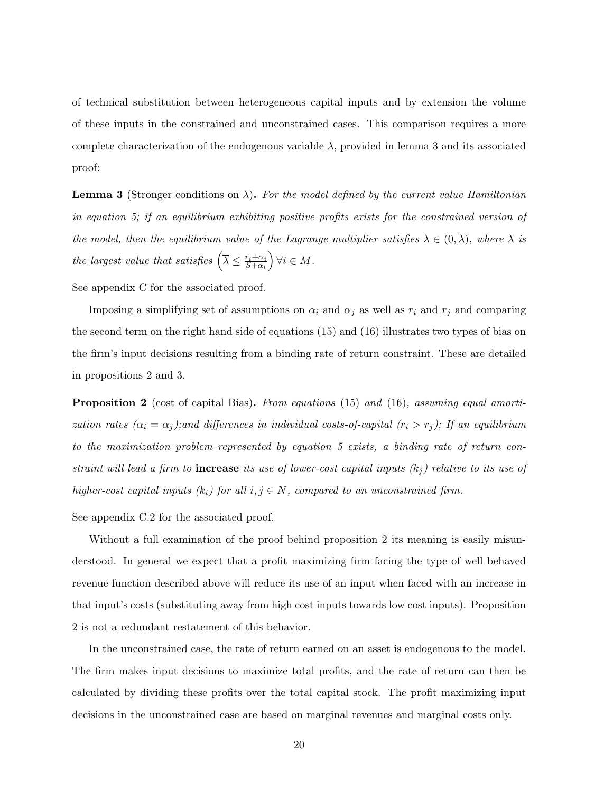of technical substitution between heterogeneous capital inputs and by extension the volume of these inputs in the constrained and unconstrained cases. This comparison requires a more complete characterization of the endogenous variable  $\lambda$ , provided in lemma 3 and its associated proof:

**Lemma 3** (Stronger conditions on  $\lambda$ ). For the model defined by the current value Hamiltonian in equation 5; if an equilibrium exhibiting positive profits exists for the constrained version of the model, then the equilibrium value of the Lagrange multiplier satisfies  $\lambda \in (0, \overline{\lambda})$ , where  $\overline{\lambda}$  is the largest value that satisfies  $\left(\overline{\lambda} \leq \frac{r_i+\alpha_i}{\overline{S}+\alpha_i}\right)$  $S+\alpha_i$  $\big\} \forall i \in M.$ 

See appendix C for the associated proof.

Imposing a simplifying set of assumptions on  $\alpha_i$  and  $\alpha_j$  as well as  $r_i$  and  $r_j$  and comparing the second term on the right hand side of equations (15) and (16) illustrates two types of bias on the firm's input decisions resulting from a binding rate of return constraint. These are detailed in propositions 2 and 3.

**Proposition 2** (cost of capital Bias). From equations (15) and (16), assuming equal amortization rates  $(\alpha_i = \alpha_j)$ ;and differences in individual costs-of-capital  $(r_i > r_j)$ ; If an equilibrium to the maximization problem represented by equation 5 exists, a binding rate of return constraint will lead a firm to **increase** its use of lower-cost capital inputs  $(k_i)$  relative to its use of higher-cost capital inputs  $(k_i)$  for all  $i, j \in N$ , compared to an unconstrained firm.

See appendix C.2 for the associated proof.

Without a full examination of the proof behind proposition 2 its meaning is easily misunderstood. In general we expect that a profit maximizing firm facing the type of well behaved revenue function described above will reduce its use of an input when faced with an increase in that input's costs (substituting away from high cost inputs towards low cost inputs). Proposition 2 is not a redundant restatement of this behavior.

In the unconstrained case, the rate of return earned on an asset is endogenous to the model. The firm makes input decisions to maximize total profits, and the rate of return can then be calculated by dividing these profits over the total capital stock. The profit maximizing input decisions in the unconstrained case are based on marginal revenues and marginal costs only.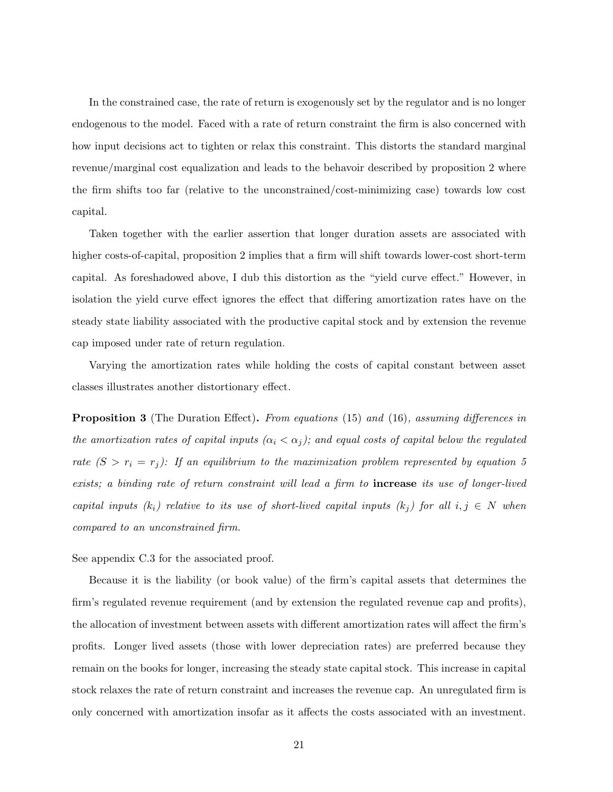In the constrained case, the rate of return is exogenously set by the regulator and is no longer endogenous to the model. Faced with a rate of return constraint the firm is also concerned with how input decisions act to tighten or relax this constraint. This distorts the standard marginal revenue/marginal cost equalization and leads to the behavoir described by proposition 2 where the firm shifts too far (relative to the unconstrained/cost-minimizing case) towards low cost capital.

Taken together with the earlier assertion that longer duration assets are associated with higher costs-of-capital, proposition 2 implies that a firm will shift towards lower-cost short-term capital. As foreshadowed above, I dub this distortion as the "yield curve effect." However, in isolation the yield curve effect ignores the effect that differing amortization rates have on the steady state liability associated with the productive capital stock and by extension the revenue cap imposed under rate of return regulation.

Varying the amortization rates while holding the costs of capital constant between asset classes illustrates another distortionary effect.

**Proposition 3** (The Duration Effect). From equations (15) and (16), assuming differences in the amortization rates of capital inputs  $(\alpha_i < \alpha_j)$ ; and equal costs of capital below the regulated rate  $(S > r_i = r_j)$ : If an equilibrium to the maximization problem represented by equation 5 exists; a binding rate of return constraint will lead a firm to increase its use of longer-lived capital inputs (k<sub>i</sub>) relative to its use of short-lived capital inputs (k<sub>j</sub>) for all  $i, j \in N$  when compared to an unconstrained firm.

See appendix C.3 for the associated proof.

Because it is the liability (or book value) of the firm's capital assets that determines the firm's regulated revenue requirement (and by extension the regulated revenue cap and profits), the allocation of investment between assets with different amortization rates will affect the firm's profits. Longer lived assets (those with lower depreciation rates) are preferred because they remain on the books for longer, increasing the steady state capital stock. This increase in capital stock relaxes the rate of return constraint and increases the revenue cap. An unregulated firm is only concerned with amortization insofar as it affects the costs associated with an investment.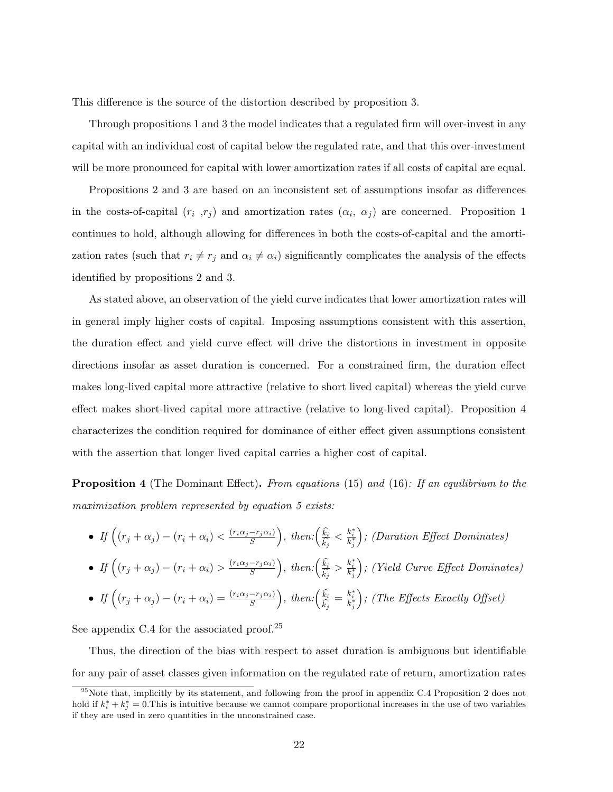This difference is the source of the distortion described by proposition 3.

Through propositions 1 and 3 the model indicates that a regulated firm will over-invest in any capital with an individual cost of capital below the regulated rate, and that this over-investment will be more pronounced for capital with lower amortization rates if all costs of capital are equal.

Propositions 2 and 3 are based on an inconsistent set of assumptions insofar as differences in the costs-of-capital  $(r_i, r_j)$  and amortization rates  $(\alpha_i, \alpha_j)$  are concerned. Proposition 1 continues to hold, although allowing for differences in both the costs-of-capital and the amortization rates (such that  $r_i \neq r_j$  and  $\alpha_i \neq \alpha_i$ ) significantly complicates the analysis of the effects identified by propositions 2 and 3.

As stated above, an observation of the yield curve indicates that lower amortization rates will in general imply higher costs of capital. Imposing assumptions consistent with this assertion, the duration effect and yield curve effect will drive the distortions in investment in opposite directions insofar as asset duration is concerned. For a constrained firm, the duration effect makes long-lived capital more attractive (relative to short lived capital) whereas the yield curve effect makes short-lived capital more attractive (relative to long-lived capital). Proposition 4 characterizes the condition required for dominance of either effect given assumptions consistent with the assertion that longer lived capital carries a higher cost of capital.

**Proposition 4** (The Dominant Effect). From equations (15) and (16): If an equilibrium to the maximization problem represented by equation 5 exists:

• If 
$$
\left((r_j + \alpha_j) - (r_i + \alpha_i) < \frac{(r_i \alpha_j - r_j \alpha_i)}{S}\right)
$$
, then  $\left(\frac{\hat{k}_i}{\hat{k}_j} < \frac{k_i^*}{k_j^*}\right)$ ; (Duration Effect Dominates)

• If 
$$
((r_j + \alpha_j) - (r_i + \alpha_i) > \frac{(r_i \alpha_j - r_j \alpha_i)}{S})
$$
, then  $\left(\frac{\hat{k}_i}{\hat{k}_j} > \frac{k_i^*}{k_j^*}\right)$ ; (Yield Curve Effect Dominates)

• If 
$$
(r_j + \alpha_j) - (r_i + \alpha_i) = \frac{(r_i \alpha_j - r_j \alpha_i)}{S}
$$
, then  $\left(\frac{\hat{k}_i}{\hat{k}_j} = \frac{k_i^*}{k_j^*}\right)$ ; (The Effects Exactly Offset)

See appendix C.4 for the associated proof.<sup>25</sup>

Thus, the direction of the bias with respect to asset duration is ambiguous but identifiable for any pair of asset classes given information on the regulated rate of return, amortization rates

<sup>&</sup>lt;sup>25</sup>Note that, implicitly by its statement, and following from the proof in appendix C.4 Proposition 2 does not hold if  $k_i^* + k_j^* = 0$ . This is intuitive because we cannot compare proportional increases in the use of two variables if they are used in zero quantities in the unconstrained case.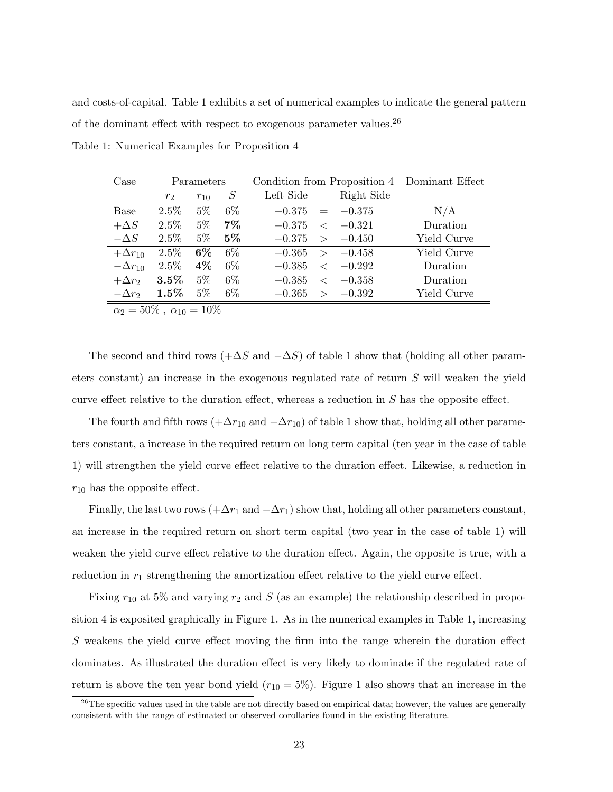and costs-of-capital. Table 1 exhibits a set of numerical examples to indicate the general pattern of the dominant effect with respect to exogenous parameter values.<sup>26</sup>

| Case                                     |         | Parameters |                                                    |           |                     | Condition from Proposition 4 Dominant Effect |
|------------------------------------------|---------|------------|----------------------------------------------------|-----------|---------------------|----------------------------------------------|
|                                          | $r_2$   | $r_{10}$   | $\mathcal{S}% _{CS}^{(n)}:=\mathcal{S}_{CS}^{(n)}$ | Left Side | Right Side          |                                              |
| Base                                     | 2.5%    | $5\%$      | $6\%$                                              | $-0.375$  | $=$ $-0.375$        | N/A                                          |
| $+\Delta S$                              | $2.5\%$ | $5\%$      | $7\%$                                              | $-0.375$  | $\leq -0.321$       | Duration                                     |
| $-\Delta S$                              | $2.5\%$ | $5\%$      | $5\%$                                              | $-0.375$  | $> -0.450$          | Yield Curve                                  |
| $+\Delta r_{10}$                         | $2.5\%$ | $6\%$      | $6\%$                                              |           | $-0.365$ > $-0.458$ | Yield Curve                                  |
| $-\Delta r_{10}$                         | 2.5%    | $4\%$      | $6\%$                                              | $-0.385$  | $\leq -0.292$       | Duration                                     |
| $+\Delta r_2$                            | $3.5\%$ | $5\%$      | $6\%$                                              | $-0.385$  | $\leq$ -0.358       | Duration                                     |
| $-\Delta r_2$                            | $1.5\%$ | $5\%$      | $6\%$                                              |           | $-0.365$ > $-0.392$ | Yield Curve                                  |
| $\alpha_2 = 50\%$ , $\alpha_{10} = 10\%$ |         |            |                                                    |           |                     |                                              |

Table 1: Numerical Examples for Proposition 4

The second and third rows ( $+\Delta S$  and  $-\Delta S$ ) of table 1 show that (holding all other parameters constant) an increase in the exogenous regulated rate of return S will weaken the yield curve effect relative to the duration effect, whereas a reduction in S has the opposite effect.

The fourth and fifth rows  $(+\Delta r_{10}$  and  $-\Delta r_{10})$  of table 1 show that, holding all other parameters constant, a increase in the required return on long term capital (ten year in the case of table 1) will strengthen the yield curve effect relative to the duration effect. Likewise, a reduction in  $r_{10}$  has the opposite effect.

Finally, the last two rows  $(+\Delta r_1 \text{ and } -\Delta r_1)$  show that, holding all other parameters constant, an increase in the required return on short term capital (two year in the case of table 1) will weaken the yield curve effect relative to the duration effect. Again, the opposite is true, with a reduction in  $r_1$  strengthening the amortization effect relative to the yield curve effect.

Fixing  $r_{10}$  at 5% and varying  $r_2$  and S (as an example) the relationship described in proposition 4 is exposited graphically in Figure 1. As in the numerical examples in Table 1, increasing S weakens the yield curve effect moving the firm into the range wherein the duration effect dominates. As illustrated the duration effect is very likely to dominate if the regulated rate of return is above the ten year bond yield  $(r_{10} = 5\%)$ . Figure 1 also shows that an increase in the

 $26$ The specific values used in the table are not directly based on empirical data; however, the values are generally consistent with the range of estimated or observed corollaries found in the existing literature.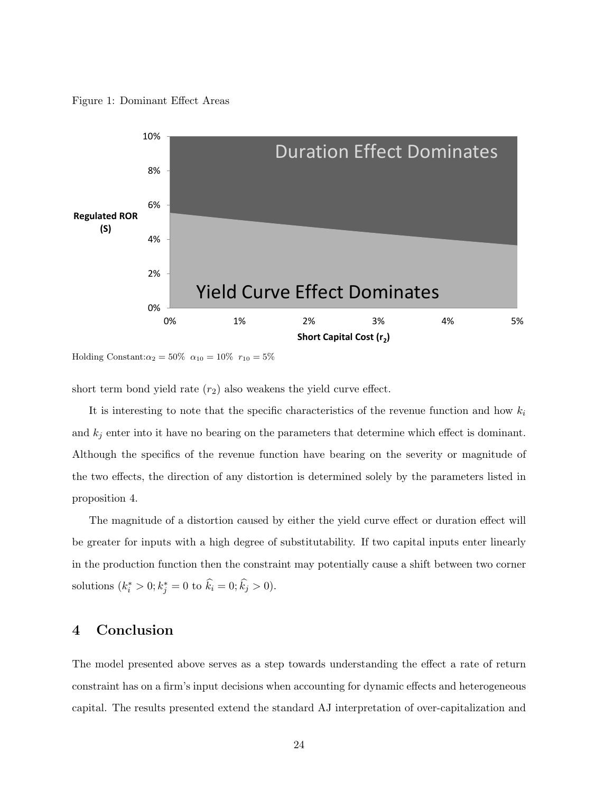Figure 1: Dominant Effect Areas



Holding Constant: $\alpha_2 = 50\% \ \alpha_{10} = 10\% \ r_{10} = 5\%$ 

short term bond yield rate  $(r_2)$  also weakens the yield curve effect.

It is interesting to note that the specific characteristics of the revenue function and how  $k_i$ and  $k_j$  enter into it have no bearing on the parameters that determine which effect is dominant. Although the specifics of the revenue function have bearing on the severity or magnitude of the two effects, the direction of any distortion is determined solely by the parameters listed in proposition 4.

The magnitude of a distortion caused by either the yield curve effect or duration effect will be greater for inputs with a high degree of substitutability. If two capital inputs enter linearly in the production function then the constraint may potentially cause a shift between two corner solutions  $(k_i^* > 0; k_j^* = 0 \text{ to } \hat{k}_i = 0; \hat{k}_j > 0).$ 

## 4 Conclusion

The model presented above serves as a step towards understanding the effect a rate of return constraint has on a firm's input decisions when accounting for dynamic effects and heterogeneous capital. The results presented extend the standard AJ interpretation of over-capitalization and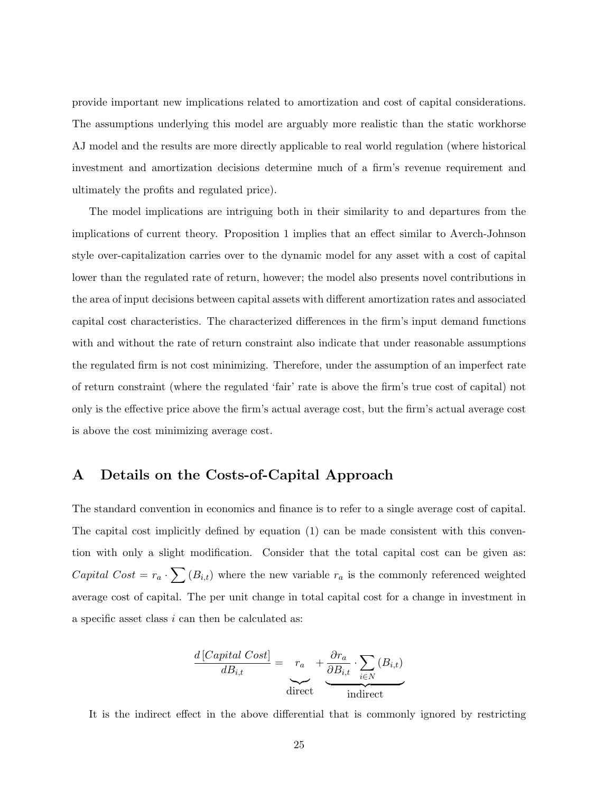provide important new implications related to amortization and cost of capital considerations. The assumptions underlying this model are arguably more realistic than the static workhorse AJ model and the results are more directly applicable to real world regulation (where historical investment and amortization decisions determine much of a firm's revenue requirement and ultimately the profits and regulated price).

The model implications are intriguing both in their similarity to and departures from the implications of current theory. Proposition 1 implies that an effect similar to Averch-Johnson style over-capitalization carries over to the dynamic model for any asset with a cost of capital lower than the regulated rate of return, however; the model also presents novel contributions in the area of input decisions between capital assets with different amortization rates and associated capital cost characteristics. The characterized differences in the firm's input demand functions with and without the rate of return constraint also indicate that under reasonable assumptions the regulated firm is not cost minimizing. Therefore, under the assumption of an imperfect rate of return constraint (where the regulated 'fair' rate is above the firm's true cost of capital) not only is the effective price above the firm's actual average cost, but the firm's actual average cost is above the cost minimizing average cost.

## A Details on the Costs-of-Capital Approach

The standard convention in economics and finance is to refer to a single average cost of capital. The capital cost implicitly defined by equation (1) can be made consistent with this convention with only a slight modification. Consider that the total capital cost can be given as: *Capital Cost* =  $r_a \cdot \sum_{i} (B_{i,t})$  where the new variable  $r_a$  is the commonly referenced weighted average cost of capital. The per unit change in total capital cost for a change in investment in a specific asset class i can then be calculated as:

$$
\frac{d\left[Capital\;Cost\right]}{dB_{i,t}} = \underbrace{r_a}_{\text{direct}} + \underbrace{\frac{\partial r_a}{\partial B_{i,t}} \cdot \sum_{i \in N} (B_{i,t})}_{\text{indirect}}
$$

It is the indirect effect in the above differential that is commonly ignored by restricting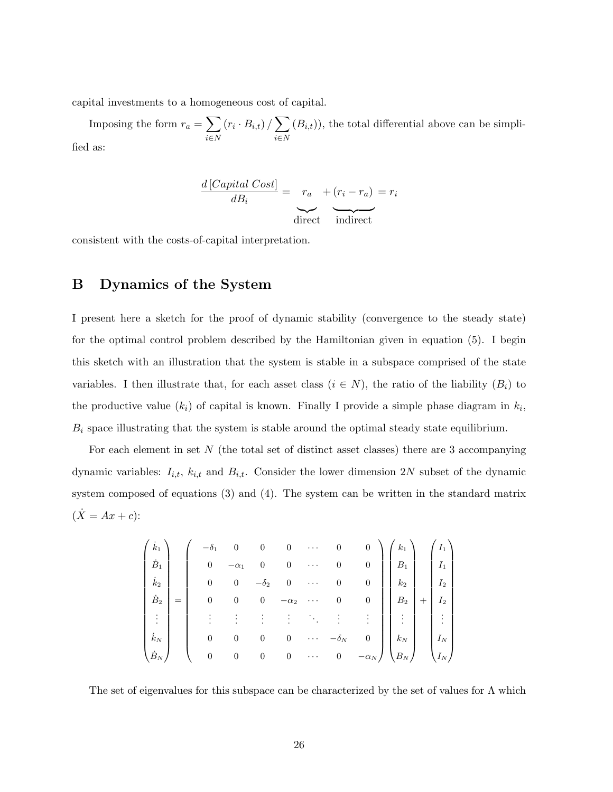capital investments to a homogeneous cost of capital.

Imposing the form  $r_a = \sum$ i∈N  $(r_i \cdot B_{i,t}) / \sum$ i∈N  $(B_{i,t})$ , the total differential above can be simplified as:

$$
\frac{d\left[Capital\; Cost\right]}{dB_i} = \underbrace{r_a + (r_i - r_a)}_{\text{direct}} = r_i
$$

consistent with the costs-of-capital interpretation.

# B Dynamics of the System

I present here a sketch for the proof of dynamic stability (convergence to the steady state) for the optimal control problem described by the Hamiltonian given in equation (5). I begin this sketch with an illustration that the system is stable in a subspace comprised of the state variables. I then illustrate that, for each asset class  $(i \in N)$ , the ratio of the liability  $(B_i)$  to the productive value  $(k_i)$  of capital is known. Finally I provide a simple phase diagram in  $k_i$ ,  $B_i$  space illustrating that the system is stable around the optimal steady state equilibrium.

For each element in set N (the total set of distinct asset classes) there are 3 accompanying dynamic variables:  $I_{i,t}$ ,  $k_{i,t}$  and  $B_{i,t}$ . Consider the lower dimension 2N subset of the dynamic system composed of equations (3) and (4). The system can be written in the standard matrix  $(\dot{X} = Ax + c):$ 

$$
\begin{pmatrix}\n\dot{k}_1 \\
\dot{B}_1 \\
\dot{k}_2 \\
\dot{B}_2 \\
\vdots \\
\dot{k}_N \\
\dot{B}_N\n\end{pmatrix} = \begin{pmatrix}\n-\delta_1 & 0 & 0 & 0 & \cdots & 0 & 0 \\
0 & -\alpha_1 & 0 & 0 & \cdots & 0 & 0 \\
0 & 0 & -\delta_2 & 0 & \cdots & 0 & 0 \\
0 & 0 & 0 & -\alpha_2 & \cdots & 0 & 0 \\
\vdots & \vdots & \vdots & \vdots & \ddots & \vdots & \vdots \\
0 & 0 & 0 & 0 & \cdots & -\delta_N & 0 \\
0 & 0 & 0 & 0 & \cdots & 0 & -\alpha_N\n\end{pmatrix} \begin{pmatrix}\nk_1 \\
B_1 \\
k_2 \\
k_3 \\
\vdots \\
k_N \\
\vdots \\
k_N\n\end{pmatrix} + \begin{pmatrix}\nI_1 \\
I_1 \\
I_2 \\
I_3 \\
\vdots \\
I_N \\
I_N\n\end{pmatrix}
$$

The set of eigenvalues for this subspace can be characterized by the set of values for  $\Lambda$  which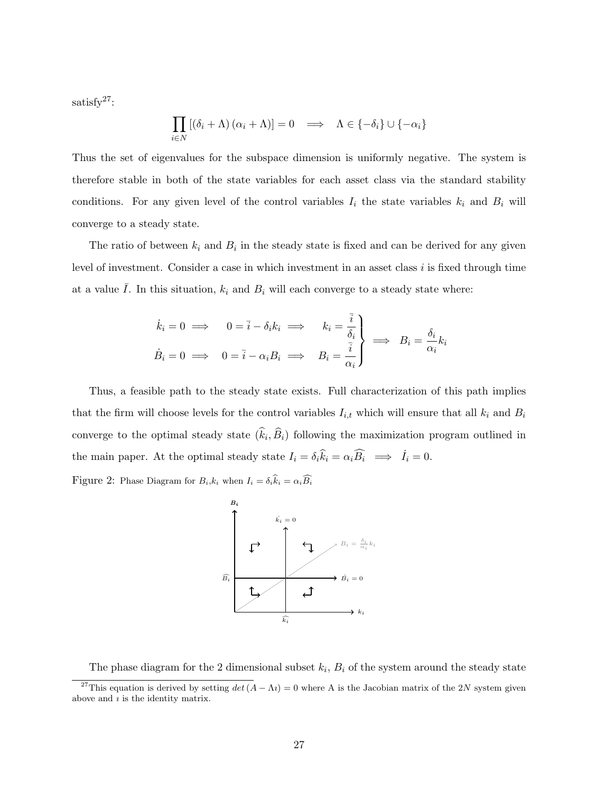satisfy<sup>27</sup>:

$$
\prod_{i\in N}\left[\left(\delta_i+\Lambda\right)\left(\alpha_i+\Lambda\right)\right]=0\quad\Longrightarrow\quad\Lambda\in\left\{-\delta_i\right\}\cup\left\{-\alpha_i\right\}
$$

Thus the set of eigenvalues for the subspace dimension is uniformly negative. The system is therefore stable in both of the state variables for each asset class via the standard stability conditions. For any given level of the control variables  $I_i$  the state variables  $k_i$  and  $B_i$  will converge to a steady state.

The ratio of between  $k_i$  and  $B_i$  in the steady state is fixed and can be derived for any given level of investment. Consider a case in which investment in an asset class i is fixed through time at a value  $\overline{I}$ . In this situation,  $k_i$  and  $B_i$  will each converge to a steady state where:

$$
\begin{aligned}\n\dot{k}_i &= 0 \implies 0 = \bar{i} - \delta_i k_i \implies k_i = \frac{\bar{i}}{\delta_i} \\
\dot{B}_i &= 0 \implies 0 = \bar{i} - \alpha_i B_i \implies B_i = \frac{\bar{i}}{\alpha_i} \\
\end{aligned} \implies B_i = \frac{\delta_i}{\alpha_i} k_i
$$

Thus, a feasible path to the steady state exists. Full characterization of this path implies that the firm will choose levels for the control variables  $I_{i,t}$  which will ensure that all  $k_i$  and  $B_i$ converge to the optimal steady state  $(k_i, B_i)$  following the maximization program outlined in the main paper. At the optimal steady state  $I_i = \delta_i \hat{k}_i = \alpha_i \widehat{B}_i \implies \dot{I}_i = 0.$ 

Figure 2: Phase Diagram for  $B_i, k_i$  when  $I_i = \delta_i \hat{k}_i = \alpha_i \widehat{B_i}$ 



The phase diagram for the 2 dimensional subset  $k_i$ ,  $B_i$  of the system around the steady state

<sup>&</sup>lt;sup>27</sup>This equation is derived by setting  $det(A - \Lambda i) = 0$  where A is the Jacobian matrix of the 2N system given above and  $i$  is the identity matrix.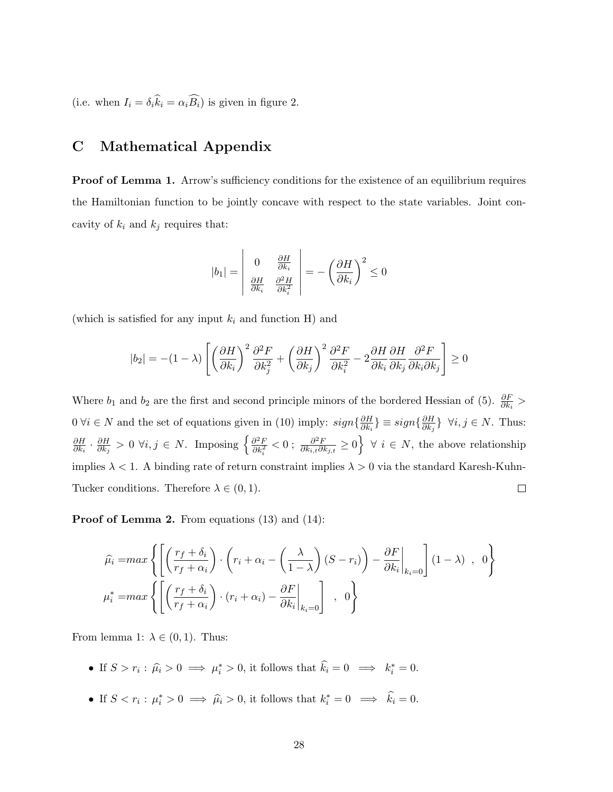(i.e. when  $I_i = \delta_i k_i = \alpha_i B_i$ ) is given in figure 2.

## C Mathematical Appendix

Proof of Lemma 1. Arrow's sufficiency conditions for the existence of an equilibrium requires the Hamiltonian function to be jointly concave with respect to the state variables. Joint concavity of  $k_i$  and  $k_j$  requires that:

$$
|b_1| = \begin{vmatrix} 0 & \frac{\partial H}{\partial k_i} \\ \frac{\partial H}{\partial k_i} & \frac{\partial^2 H}{\partial k_i^2} \end{vmatrix} = -\left(\frac{\partial H}{\partial k_i}\right)^2 \leq 0
$$

(which is satisfied for any input  $k_i$  and function H) and

$$
|b_2| = -(1 - \lambda) \left[ \left( \frac{\partial H}{\partial k_i} \right)^2 \frac{\partial^2 F}{\partial k_j^2} + \left( \frac{\partial H}{\partial k_j} \right)^2 \frac{\partial^2 F}{\partial k_i^2} - 2 \frac{\partial H}{\partial k_i} \frac{\partial H}{\partial k_j} \frac{\partial^2 F}{\partial k_i \partial k_j} \right] \ge 0
$$

Where  $b_1$  and  $b_2$  are the first and second principle minors of the bordered Hessian of (5).  $\frac{\partial F}{\partial k_i}$  >  $0 \forall i \in \mathbb{N}$  and the set of equations given in (10) imply:  $sign\{\frac{\partial H}{\partial k}\}$  $\frac{\partial H}{\partial k_i} \} \equiv sign\{ \frac{\partial H}{\partial k_j}$  $\frac{\partial H}{\partial k_j}$   $\forall i, j \in N$ . Thus:  $\frac{\partial H}{\partial k_j} > 0 \,\,\forall i, j \in N.$  Imposing  $\left\{\frac{\partial^2 F}{\partial k_i^2}\right\}$  $\frac{\partial^2 F}{\partial k_{i,t} \partial k_{j,t}} \geq 0$   $\forall$  i ∈ N, the above relationship  $\frac{\partial^2 F}{\partial k_i^2} < 0$ ;  $\frac{\partial^2 F}{\partial k_{i,t}\partial l}$  $\frac{\partial H}{\partial k_i} \cdot \frac{\partial H}{\partial k_j}$ ∂H implies  $\lambda < 1$ . A binding rate of return constraint implies  $\lambda > 0$  via the standard Karesh-Kuhn-Tucker conditions. Therefore  $\lambda \in (0,1)$ .  $\Box$ 

Proof of Lemma 2. From equations (13) and (14):

$$
\widehat{\mu_i} = \max \left\{ \left[ \left( \frac{r_f + \delta_i}{r_f + \alpha_i} \right) \cdot \left( r_i + \alpha_i - \left( \frac{\lambda}{1 - \lambda} \right) (S - r_i) \right) - \frac{\partial F}{\partial k_i} \Big|_{k_i = 0} \right] (1 - \lambda) , 0 \right\}
$$

$$
\mu_i^* = \max \left\{ \left[ \left( \frac{r_f + \delta_i}{r_f + \alpha_i} \right) \cdot (r_i + \alpha_i) - \frac{\partial F}{\partial k_i} \Big|_{k_i = 0} \right] , 0 \right\}
$$

From lemma 1:  $\lambda \in (0,1)$ . Thus:

- If  $S > r_i : \hat{\mu}_i > 0 \implies \mu_i^* > 0$ , it follows that  $\hat{k}_i = 0 \implies k_i^* = 0$ .
- If  $S < r_i : \mu_i^* > 0 \implies \hat{\mu}_i > 0$ , it follows that  $k_i^* = 0 \implies \hat{k}_i = 0$ .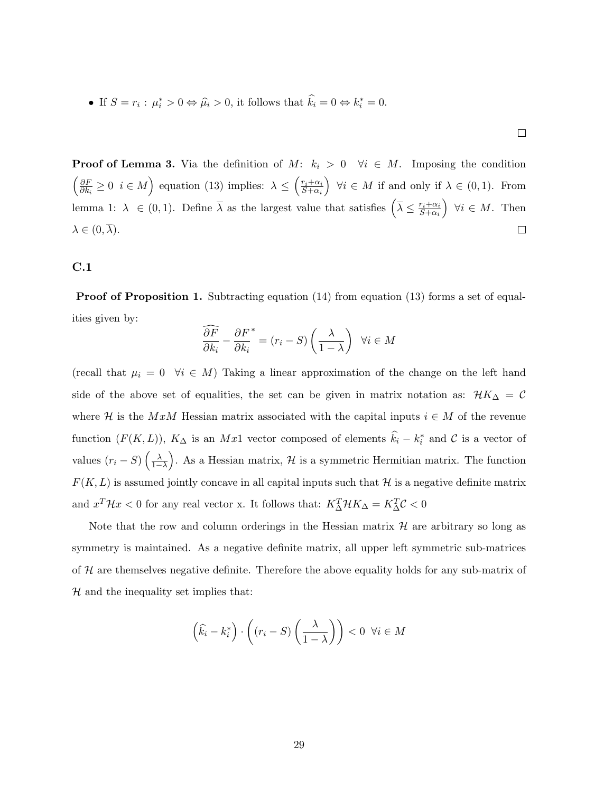• If  $S = r_i : \mu_i^* > 0 \Leftrightarrow \hat{\mu}_i > 0$ , it follows that  $\hat{k}_i = 0 \Leftrightarrow k_i^* = 0$ .

**Proof of Lemma 3.** Via the definition of M:  $k_i > 0$   $\forall i \in M$ . Imposing the condition  $\int \underline{\partial} F$  $\frac{\partial F}{\partial k_i} \geq 0$  i  $\in M$ ) equation (13) implies:  $\lambda \leq \left(\frac{r_i + \alpha_i}{S + \alpha_i}\right)$  $\big) \forall i \in M$  if and only if  $\lambda \in (0,1)$ . From  $S+\alpha_i$ lemma 1:  $\lambda \in (0,1)$ . Define  $\overline{\lambda}$  as the largest value that satisfies  $\left(\overline{\lambda} \leq \frac{r_i + \alpha_i}{\overline{\lambda} + \alpha_i}\right)$  $\big) \forall i \in M.$  Then  $S+\alpha_i$  $\lambda \in (0, \overline{\lambda}).$  $\Box$ 

#### C.1

Proof of Proposition 1. Subtracting equation (14) from equation (13) forms a set of equalities given by:

$$
\frac{\widehat{\partial F}}{\partial k_i} - \frac{\partial F^*}{\partial k_i} = (r_i - S) \left(\frac{\lambda}{1 - \lambda}\right) \quad \forall i \in M
$$

(recall that  $\mu_i = 0 \quad \forall i \in M$ ) Taking a linear approximation of the change on the left hand side of the above set of equalities, the set can be given in matrix notation as:  $\mathcal{H}K_{\Delta} = \mathcal{C}$ where H is the MxM Hessian matrix associated with the capital inputs  $i \in M$  of the revenue function  $(F(K, L))$ ,  $K_{\Delta}$  is an Mx1 vector composed of elements  $\hat{k}_i - k_i^*$  and C is a vector of values  $(r_i - S) \left(\frac{\lambda}{1-\lambda}\right)$ . As a Hessian matrix, H is a symmetric Hermitian matrix. The function  $F(K, L)$  is assumed jointly concave in all capital inputs such that H is a negative definite matrix and  $x^T \mathcal{H} x < 0$  for any real vector x. It follows that:  $K_{\Delta}^T \mathcal{H} K_{\Delta} = K_{\Delta}^T \mathcal{C} < 0$ 

Note that the row and column orderings in the Hessian matrix  $H$  are arbitrary so long as symmetry is maintained. As a negative definite matrix, all upper left symmetric sub-matrices of  $H$  are themselves negative definite. Therefore the above equality holds for any sub-matrix of  $H$  and the inequality set implies that:

$$
\left(\widehat{k_i} - k_i^*\right) \cdot \left( (r_i - S) \left( \frac{\lambda}{1 - \lambda} \right) \right) < 0 \ \forall i \in M
$$

 $\Box$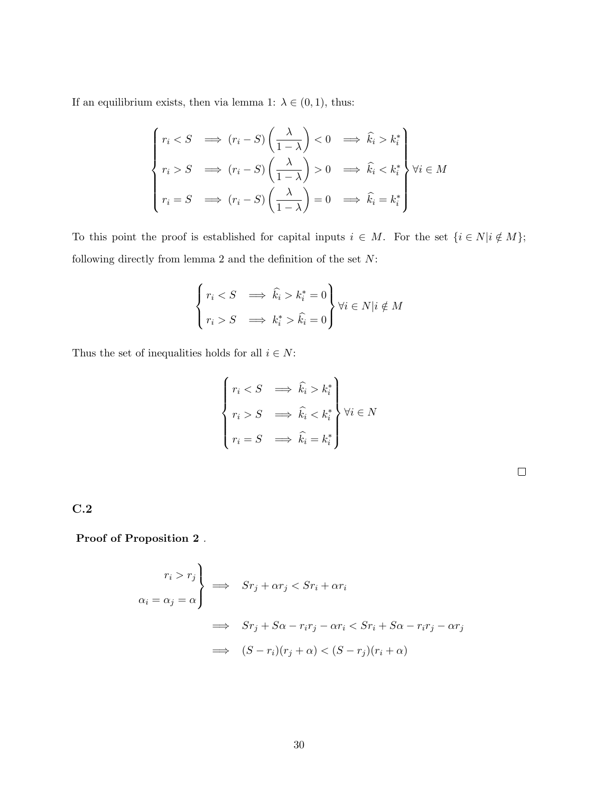If an equilibrium exists, then via lemma 1:  $\lambda \in (0,1)$ , thus:

$$
\begin{cases}\nr_i < S \implies (r_i - S) \left(\frac{\lambda}{1 - \lambda}\right) < 0 \implies \hat{k}_i > k_i^* \\
r_i > S \implies (r_i - S) \left(\frac{\lambda}{1 - \lambda}\right) > 0 \implies \hat{k}_i < k_i^* \\
r_i = S \implies (r_i - S) \left(\frac{\lambda}{1 - \lambda}\right) = 0 \implies \hat{k}_i = k_i^*\n\end{cases}\n\forall i \in M
$$

To this point the proof is established for capital inputs  $i \in M$ . For the set  $\{i \in N | i \notin M\};$ following directly from lemma 2 and the definition of the set  $N$ :

$$
\begin{cases} r_i < S \implies \widehat{k}_i > k_i^* = 0 \\ r_i > S \implies k_i^* > \widehat{k}_i = 0 \end{cases} \forall i \in N | i \notin M
$$

Thus the set of inequalities holds for all  $i\in N:$ 

$$
\begin{cases}\nr_i < S \implies \widehat{k_i} > k_i^* \\
r_i > S \implies \widehat{k_i} < k_i^* \\
r_i = S \implies \widehat{k_i} = k_i^*\n\end{cases}\n\forall i \in N
$$

# C.2

Proof of Proposition 2 .

$$
\begin{aligned}\nr_i > r_j \\
\alpha_i &= \alpha_j = \alpha\n\end{aligned}\n\implies\n\begin{aligned}\nSr_j + \alpha r_j < Sr_i + \alpha r_i \\
\implies\n\begin{aligned}\nSr_j + S\alpha - r_i r_j - \alpha r_i < Sr_i + S\alpha - r_i r_j - \alpha r_j \\
\implies\n\begin{aligned}\n(S - r_i)(r_j + \alpha) < (S - r_j)(r_i + \alpha)\n\end{aligned}\n\end{aligned}
$$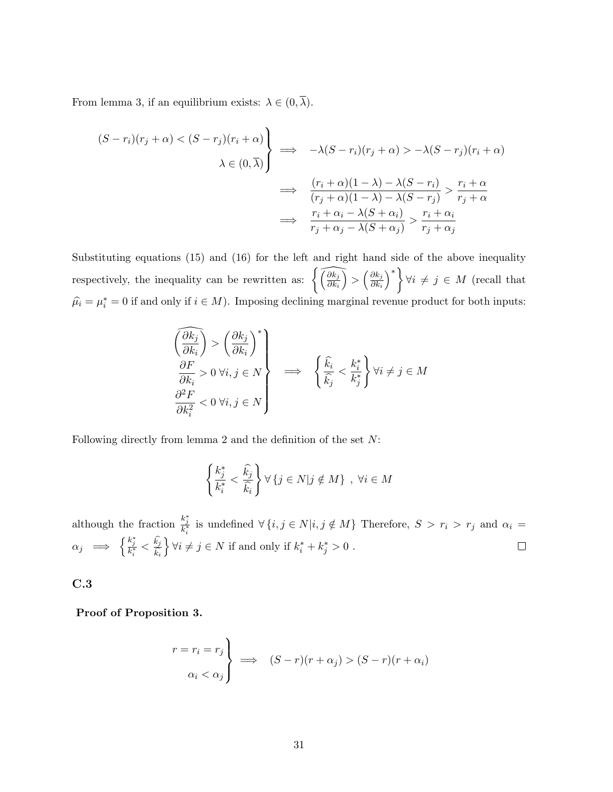From lemma 3, if an equilibrium exists:  $\lambda \in (0, \overline{\lambda})$ .

$$
(S - r_i)(r_j + \alpha) < (S - r_j)(r_i + \alpha) \longrightarrow \neg \lambda(S - r_i)(r_j + \alpha) > -\lambda(S - r_j)(r_i + \alpha) \longrightarrow \neg \lambda(S - r_i)(r_j + \alpha) \longrightarrow \neg \lambda(S - r_i) \longrightarrow \neg \lambda(S - r_i) > \neg \lambda(S - r_i) > \neg \lambda(S - r_j) > \neg \lambda(S - r_j) > \neg \lambda(S + \alpha) \longrightarrow \neg \lambda(S + \alpha) > \neg \lambda(S + \alpha) > \neg \lambda(S + \alpha) > \neg \lambda(S + \alpha) > \neg \lambda(S + \alpha) > \neg \lambda(S + \alpha) > \neg \lambda(S + \alpha) > \neg \lambda(S + \alpha) > \neg \lambda(S + \alpha) > \neg \lambda(S + \alpha) > \neg \lambda(S + \alpha) > \neg \lambda(S + \alpha) > \neg \lambda(S + \alpha) > \neg \lambda(S + \alpha) > \neg \lambda(S + \alpha) > \neg \lambda(S + \alpha) > \neg \lambda(S + \alpha) > \neg \lambda(S + \alpha) > \neg \lambda(S + \alpha) > \neg \lambda(S + \alpha) > \neg \lambda(S + \alpha) > \neg \lambda(S + \alpha) > \neg \lambda(S + \alpha) > \neg \lambda(S + \alpha) > \neg \lambda(S + \alpha) > \neg \lambda(S + \alpha) > \neg \lambda(S + \alpha) > \neg \lambda(S + \alpha) > \neg \lambda(S + \alpha) > \neg \lambda(S + \alpha) > \neg \lambda(S + \alpha) > \neg \lambda(S + \alpha) > \neg \lambda(S + \alpha) > \neg \lambda(S + \alpha) > \neg \lambda(S + \alpha) > \neg \lambda(S + \alpha) > \neg \lambda(S + \alpha) > \neg \lambda(S + \alpha) > \neg \lambda(S + \alpha) > \neg \lambda(S + \alpha) > \neg \lambda(S + \alpha) > \neg \lambda(S + \alpha) > \neg \lambda(S + \alpha) > \neg \lambda(S + \alpha) > \neg \lambda(S + \alpha) > \neg \lambda(S + \alpha) > \neg \lambda(S + \alpha) > \neg \lambda(S + \alpha) > \neg \lambda(S + \alpha) > \neg \lambda(S + \alpha) > \neg \lambda(S + \alpha) &
$$

Substituting equations (15) and (16) for the left and right hand side of the above inequality respectively, the inequality can be rewritten as:  $\left\{\widehat{\left(\frac{\partial k_j}{\partial k_i}\right)}\right\}$  $\Big) > \Big(\frac{\partial k_j}{\partial k_j}\Big)$  $\overline{\partial k_i}$  $\left\{ \forall i \neq j \in M \text{ (recall that }\right\}$  $\hat{\mu}_i = \mu_i^* = 0$  if and only if  $i \in M$ ). Imposing declining marginal revenue product for both inputs:

$$
\begin{aligned}\n\left(\frac{\widehat{\partial k_j}}{\partial k_i}\right) > \left(\frac{\partial k_j}{\partial k_i}\right)^* \\
\frac{\partial F}{\partial k_i} > 0 \,\forall i, j \in N \\
\frac{\partial^2 F}{\partial k_i^2} < 0 \,\forall i, j \in N\n\end{aligned}\n\implies\n\left\{\n\begin{aligned}\n\widehat{k_i} < \frac{k_i^*}{k_j^*} \\
\frac{\partial^2 F}{\partial k_i^2} < 0 \,\forall i, j \in N\n\end{aligned}\n\right\} \implies \left\{\n\begin{aligned}\n\widehat{k_i} < \frac{k_i^*}{k_j^*} \\
\frac{\partial^2 F}{\partial k_i^2} < 0\n\end{aligned}\n\right.
$$

Following directly from lemma 2 and the definition of the set  $N$ :

$$
\left\{\frac{k_j^*}{k_i^*} < \frac{\widehat{k}_j}{\widehat{k}_i}\right\} \forall \left\{j \in N | j \notin M\right\}, \ \forall i \in M
$$

although the fraction  $\frac{k_j^*}{k_i^*}$  is undefined  $\forall \{i, j \in N | i, j \notin M\}$  Therefore,  $S > r_i > r_j$  and  $\alpha_i =$  $\alpha_j \;\; \Longrightarrow \;\; \Big\{ \frac{k_j^*}{k_i^*} < \frac{\widehat{k_j}}{\widehat{k_i}}$  $\left\{ \forall i \neq j \in N \text{ if and only if } k_i^* + k_j^* > 0. \right\}$  $\Box$  $k_i$ 

C.3

Proof of Proposition 3.

$$
\begin{aligned}\nr &= r_i = r_j \\
\alpha_i < \alpha_j\n\end{aligned}\n\implies\n(S - r)(r + \alpha_j) > (S - r)(r + \alpha_i)
$$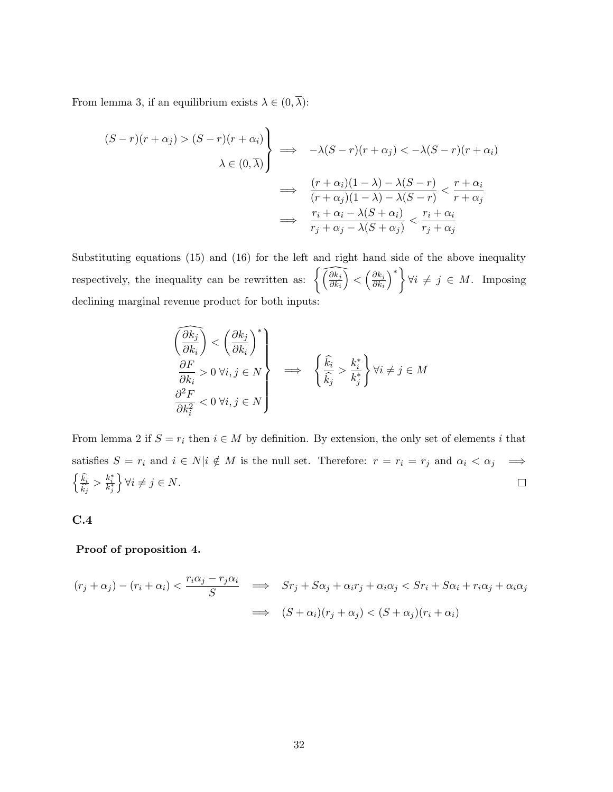From lemma 3, if an equilibrium exists  $\lambda \in (0, \overline{\lambda})$ :

$$
(S-r)(r+\alpha_j) > (S-r)(r+\alpha_i)
$$
  
\n
$$
\lambda \in (0, \overline{\lambda})
$$
  
\n
$$
\Rightarrow -\lambda(S-r)(r+\alpha_j) < -\lambda(S-r)(r+\alpha_i)
$$
  
\n
$$
\Rightarrow \frac{(r+\alpha_i)(1-\lambda) - \lambda(S-r)}{(r+\alpha_j)(1-\lambda) - \lambda(S-r)} < \frac{r+\alpha_i}{r+\alpha_j}
$$
  
\n
$$
\Rightarrow \frac{r_i + \alpha_i - \lambda(S+\alpha_i)}{r_j + \alpha_j - \lambda(S+\alpha_j)} < \frac{r_i + \alpha_i}{r_j + \alpha_j}
$$

Substituting equations (15) and (16) for the left and right hand side of the above inequality respectively, the inequality can be rewritten as:  $\left\{\widehat{\left(\frac{\partial k_j}{\partial k_i}\right)}\right\}$  $\Big) < \Big(\frac{\partial k_j}{\partial k_j}$  $\overline{\partial k_i}$  $\Big\}^*$  ∀i  $\neq j \in M$ . Imposing declining marginal revenue product for both inputs:

$$
\begin{aligned}\n\left(\frac{\widehat{\partial k_j}}{\partial k_i}\right) &< \left(\frac{\partial k_j}{\partial k_i}\right)^* \\
\frac{\partial F}{\partial k_i} > 0 \,\forall i, j \in N \\
\frac{\partial^2 F}{\partial k_i^2} < 0 \,\forall i, j \in N\n\end{aligned}\n\implies\n\left\{\n\begin{aligned}\n\widehat{k_i} &> \frac{k_i^*}{k_j^*} \\
\frac{\partial^2 F}{\partial k_i^2} &< 0 \,\forall i, j \in N\n\end{aligned}\n\right\}\n\implies\n\left\{\n\frac{\widehat{k_i}}{\widehat{k_j}} > \frac{k_i^*}{k_j^*}\n\right\}\n\forall i \neq j \in M
$$

From lemma 2 if  $S = r_i$  then  $i \in M$  by definition. By extension, the only set of elements i that satisfies  $S = r_i$  and  $i \in N | i \notin M$  is the null set. Therefore:  $r = r_i = r_j$  and  $\alpha_i < \alpha_j \implies$  $> \frac{k_i^*}{k_j^*}$  $\left\{\frac{\widehat{k_i}}{\leq}\right\}$  $\forall i \neq j \in N.$  $\Box$  $k_j$ 

#### C.4

#### Proof of proposition 4.

$$
(r_j + \alpha_j) - (r_i + \alpha_i) < \frac{r_i \alpha_j - r_j \alpha_i}{S} \implies Sr_j + S\alpha_j + \alpha_i r_j + \alpha_i \alpha_j < Sr_i + S\alpha_i + r_i \alpha_j + \alpha_i \alpha_j
$$
\n
$$
\implies (S + \alpha_i)(r_j + \alpha_j) < (S + \alpha_j)(r_i + \alpha_i)
$$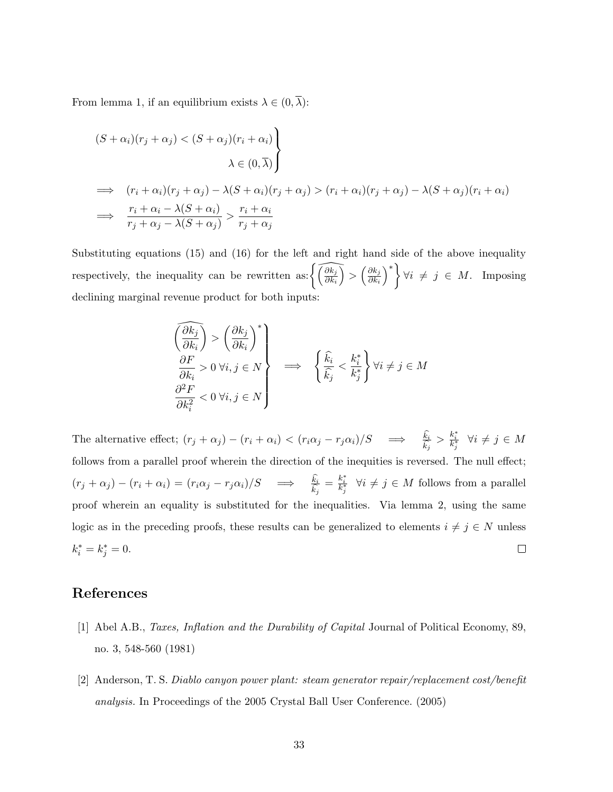From lemma 1, if an equilibrium exists  $\lambda \in (0, \overline{\lambda})$ :

$$
(S + \alpha_i)(r_j + \alpha_j) < (S + \alpha_j)(r_i + \alpha_i) \times (S + \alpha_j)(r_i + \alpha_i) \times (0, \overline{\lambda})
$$
\n
$$
\Rightarrow (r_i + \alpha_i)(r_j + \alpha_j) - \lambda(S + \alpha_i)(r_j + \alpha_j) > (r_i + \alpha_i)(r_j + \alpha_j) - \lambda(S + \alpha_j)(r_i + \alpha_i) \times (S + \alpha_j)(r_j + \alpha_j) \times (S + \alpha_j)(r_j + \alpha_j) \times (S + \alpha_j)(r_j + \alpha_j) \times (S + \alpha_j)(r_j + \alpha_j) \times (S + \alpha_j)(r_j + \alpha_j) \times (S + \alpha_j)(r_j + \alpha_j) \times (S + \alpha_j)(r_j + \alpha_j) \times (S + \alpha_j)(r_j + \alpha_j) \times (S + \alpha_j)(r_j + \alpha_j) \times (S + \alpha_j)(r_j + \alpha_j) \times (S + \alpha_j)(r_j + \alpha_j) \times (S + \alpha_j)(r_j + \alpha_j) \times (S + \alpha_j)(r_j + \alpha_j) \times (S + \alpha_j)(r_j + \alpha_j) \times (S + \alpha_j)(r_j + \alpha_j) \times (S + \alpha_j)(r_j + \alpha_j) \times (S + \alpha_j)(r_j + \alpha_j) \times (S + \alpha_j)(r_j + \alpha_j) \times (S + \alpha_j)(r_j + \alpha_j) \times (S + \alpha_j)(r_j + \alpha_j) \times (S + \alpha_j)(r_j + \alpha_j) \times (S + \alpha_j)(r_j + \alpha_j) \times (S + \alpha_j)(r_j + \alpha_j) \times (S + \alpha_j)(r_j + \alpha_j) \times (S + \alpha_j)(r_j + \alpha_j) \times (S + \alpha_j)(r_j + \alpha_j) \times (S + \alpha_j)(r_j + \alpha_j) \times (S + \alpha_j)(r_j + \alpha_j) \times (S + \alpha_j)(r_j + \alpha_j) \times (S + \alpha_j)(r_j + \alpha_j) \times (S + \alpha_j)(r_j + \alpha_j) \times (S + \alpha_j)(r_j + \alpha_j) \times (S + \alpha_j)(r_j + \alpha_j) \times (S + \alpha_j)(r_j + \alpha_j) \times (S + \alpha_j)(r_j + \alpha_j) \times (S + \alpha_j)(r_j + \alpha_j) \times (S + \alpha_j)(r_j + \alpha_j) \times (S + \alpha_j)(r_j + \alpha_j) \times (S + \alpha_j)(r_j + \alpha_j) \times
$$

Substituting equations (15) and (16) for the left and right hand side of the above inequality respectively, the inequality can be rewritten as:  $\left\{\widehat{\left(\frac{\partial k_j}{\partial k_i}\right)}\right\}$  $\Big) > \Big(\frac{\partial k_j}{\partial k_j}\Big)$  $\partial k_i$  $\Big\}^*$   $\Big\}$  ∀i  $\neq j \in M$ . Imposing declining marginal revenue product for both inputs:

$$
\begin{aligned}\n\left(\frac{\widehat{\partial k_j}}{\partial k_i}\right) > \left(\frac{\partial k_j}{\partial k_i}\right)^* \\
\frac{\partial F}{\partial k_i} > 0 \,\forall i, j \in N \\
\frac{\partial^2 F}{\partial k_i^2} < 0 \,\forall i, j \in N\n\end{aligned}\n\implies\n\left\{\n\begin{aligned}\n\widehat{k_i} < \frac{k_i^*}{\widehat{k_j}} \\
\frac{\partial^2 F}{\partial k_i^2} < 0 \,\forall i, j \in N\n\end{aligned}\n\right\}\n\implies\n\left\{\n\frac{\widehat{k_i}}{\widehat{k_j}} < \frac{k_i^*}{\widehat{k_j}^*}\n\right\} \forall i \neq j \in M
$$

 $> \frac{k_i^*}{k_j^*}$   $\forall i \neq j \in M$ The alternative effect;  $(r_j + \alpha_j) - (r_i + \alpha_i) < (r_i \alpha_j - r_j \alpha_i)/S \implies \frac{k_i}{k_j}$ follows from a parallel proof wherein the direction of the inequities is reversed. The null effect;  $=\frac{k_i^*}{k_j^*}$   $\forall i \neq j \in M$  follows from a parallel  $(r_j + \alpha_j) - (r_i + \alpha_i) = (r_i \alpha_j - r_j \alpha_i)/S \implies \frac{k_i}{k_j}$ proof wherein an equality is substituted for the inequalities. Via lemma 2, using the same logic as in the preceding proofs, these results can be generalized to elements  $i \neq j \in N$  unless  $k_i^* = k_j^* = 0.$  $\Box$ 

# References

- [1] Abel A.B., Taxes, Inflation and the Durability of Capital Journal of Political Economy, 89, no. 3, 548-560 (1981)
- [2] Anderson, T. S. Diablo canyon power plant: steam generator repair/replacement cost/benefit analysis. In Proceedings of the 2005 Crystal Ball User Conference. (2005)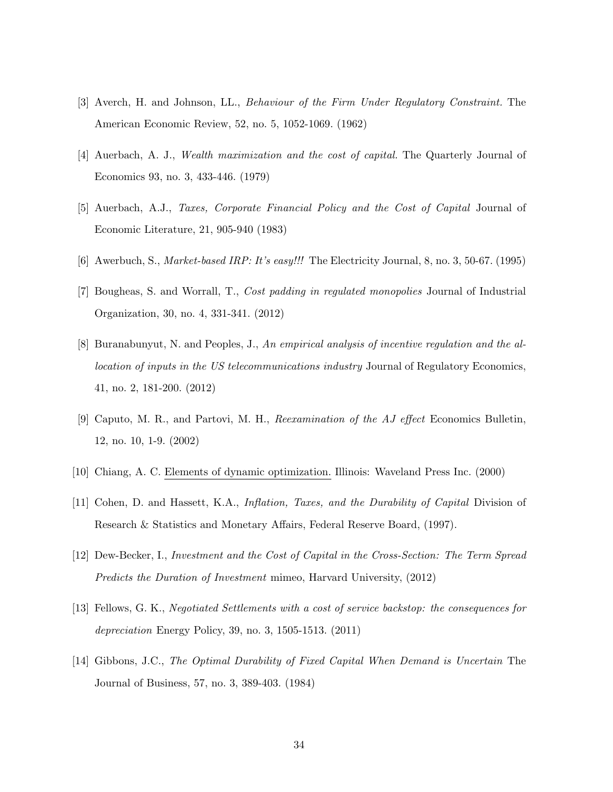- [3] Averch, H. and Johnson, LL., Behaviour of the Firm Under Regulatory Constraint. The American Economic Review, 52, no. 5, 1052-1069. (1962)
- [4] Auerbach, A. J., Wealth maximization and the cost of capital. The Quarterly Journal of Economics 93, no. 3, 433-446. (1979)
- [5] Auerbach, A.J., Taxes, Corporate Financial Policy and the Cost of Capital Journal of Economic Literature, 21, 905-940 (1983)
- [6] Awerbuch, S., Market-based IRP: It's easy!!! The Electricity Journal, 8, no. 3, 50-67. (1995)
- [7] Bougheas, S. and Worrall, T., Cost padding in regulated monopolies Journal of Industrial Organization, 30, no. 4, 331-341. (2012)
- [8] Buranabunyut, N. and Peoples, J., An empirical analysis of incentive regulation and the allocation of inputs in the US telecommunications industry Journal of Regulatory Economics, 41, no. 2, 181-200. (2012)
- [9] Caputo, M. R., and Partovi, M. H., Reexamination of the AJ effect Economics Bulletin, 12, no. 10, 1-9. (2002)
- [10] Chiang, A. C. Elements of dynamic optimization. Illinois: Waveland Press Inc. (2000)
- [11] Cohen, D. and Hassett, K.A., Inflation, Taxes, and the Durability of Capital Division of Research & Statistics and Monetary Affairs, Federal Reserve Board, (1997).
- [12] Dew-Becker, I., Investment and the Cost of Capital in the Cross-Section: The Term Spread Predicts the Duration of Investment mimeo, Harvard University, (2012)
- [13] Fellows, G. K., Negotiated Settlements with a cost of service backstop: the consequences for depreciation Energy Policy, 39, no. 3, 1505-1513. (2011)
- [14] Gibbons, J.C., The Optimal Durability of Fixed Capital When Demand is Uncertain The Journal of Business, 57, no. 3, 389-403. (1984)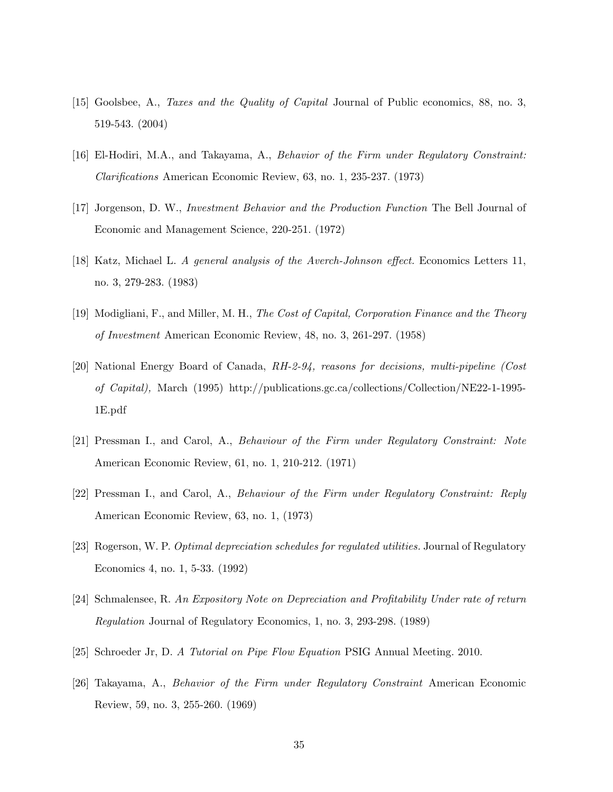- [15] Goolsbee, A., Taxes and the Quality of Capital Journal of Public economics, 88, no. 3, 519-543. (2004)
- [16] El-Hodiri, M.A., and Takayama, A., Behavior of the Firm under Regulatory Constraint: Clarifications American Economic Review, 63, no. 1, 235-237. (1973)
- [17] Jorgenson, D. W., Investment Behavior and the Production Function The Bell Journal of Economic and Management Science, 220-251. (1972)
- [18] Katz, Michael L. A general analysis of the Averch-Johnson effect. Economics Letters 11, no. 3, 279-283. (1983)
- [19] Modigliani, F., and Miller, M. H., The Cost of Capital, Corporation Finance and the Theory of Investment American Economic Review, 48, no. 3, 261-297. (1958)
- [20] National Energy Board of Canada, RH-2-94, reasons for decisions, multi-pipeline (Cost of Capital), March (1995) http://publications.gc.ca/collections/Collection/NE22-1-1995- 1E.pdf
- [21] Pressman I., and Carol, A., Behaviour of the Firm under Regulatory Constraint: Note American Economic Review, 61, no. 1, 210-212. (1971)
- [22] Pressman I., and Carol, A., Behaviour of the Firm under Regulatory Constraint: Reply American Economic Review, 63, no. 1, (1973)
- [23] Rogerson, W. P. Optimal depreciation schedules for regulated utilities. Journal of Regulatory Economics 4, no. 1, 5-33. (1992)
- [24] Schmalensee, R. An Expository Note on Depreciation and Profitability Under rate of return Regulation Journal of Regulatory Economics, 1, no. 3, 293-298. (1989)
- [25] Schroeder Jr, D. A Tutorial on Pipe Flow Equation PSIG Annual Meeting. 2010.
- [26] Takayama, A., Behavior of the Firm under Regulatory Constraint American Economic Review, 59, no. 3, 255-260. (1969)